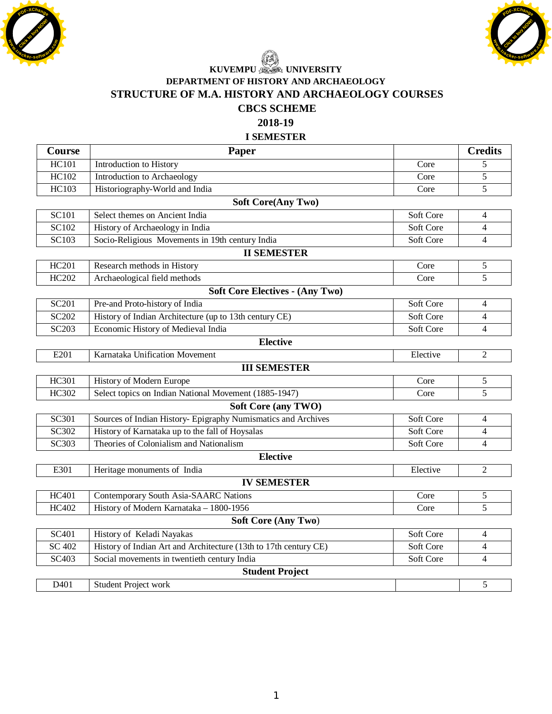





## **DEPARTMENT OF HISTORY AND ARCHAEOLOGY STRUCTURE OF M.A. HISTORY AND ARCHAEOLOGY COURSES CBCS SCHEME**

**2018-19** 

#### **I SEMESTER**

| Course                                 | Paper                                                            |           | <b>Credits</b> |
|----------------------------------------|------------------------------------------------------------------|-----------|----------------|
| <b>HC101</b>                           | Introduction to History                                          | Core      | 5              |
| HC102                                  | Introduction to Archaeology                                      | Core      | 5              |
| <b>HC103</b>                           | Historiography-World and India                                   | Core      | 5              |
| <b>Soft Core(Any Two)</b>              |                                                                  |           |                |
| <b>SC101</b>                           | Select themes on Ancient India                                   | Soft Core | 4              |
| SC102                                  | History of Archaeology in India                                  | Soft Core | $\overline{4}$ |
| <b>SC103</b>                           | Socio-Religious Movements in 19th century India                  | Soft Core | $\overline{4}$ |
| <b>II SEMESTER</b>                     |                                                                  |           |                |
| <b>HC201</b>                           | Research methods in History                                      | Core      | 5              |
| HC202                                  | Archaeological field methods                                     | Core      | 5              |
| <b>Soft Core Electives - (Any Two)</b> |                                                                  |           |                |
| <b>SC201</b>                           | Pre-and Proto-history of India                                   | Soft Core | $\overline{4}$ |
| <b>SC202</b>                           | History of Indian Architecture (up to 13th century CE)           | Soft Core | $\overline{4}$ |
| SC203                                  | Economic History of Medieval India                               | Soft Core | $\overline{4}$ |
| <b>Elective</b>                        |                                                                  |           |                |
| E201                                   | Karnataka Unification Movement                                   | Elective  | $\overline{c}$ |
| <b>III SEMESTER</b>                    |                                                                  |           |                |
| HC301                                  | History of Modern Europe                                         | Core      | 5              |
| HC302                                  | Select topics on Indian National Movement (1885-1947)            | Core      | 5              |
| <b>Soft Core (any TWO)</b>             |                                                                  |           |                |
| <b>SC301</b>                           | Sources of Indian History- Epigraphy Numismatics and Archives    | Soft Core | $\overline{4}$ |
| <b>SC302</b>                           | History of Karnataka up to the fall of Hoysalas                  | Soft Core | $\overline{4}$ |
| <b>SC303</b>                           | Theories of Colonialism and Nationalism                          | Soft Core | $\overline{4}$ |
| <b>Elective</b>                        |                                                                  |           |                |
| E301                                   | Heritage monuments of India                                      | Elective  | $\overline{c}$ |
| <b>IV SEMESTER</b>                     |                                                                  |           |                |
| <b>HC401</b>                           | Contemporary South Asia-SAARC Nations                            | Core      | 5              |
| HC402                                  | History of Modern Karnataka - 1800-1956                          | Core      | 5              |
| <b>Soft Core (Any Two)</b>             |                                                                  |           |                |
| SC401                                  | History of Keladi Nayakas                                        | Soft Core | 4              |
| <b>SC 402</b>                          | History of Indian Art and Architecture (13th to 17th century CE) | Soft Core | $\overline{4}$ |
| SC403                                  | Social movements in twentieth century India                      | Soft Core | $\overline{4}$ |
| <b>Student Project</b>                 |                                                                  |           |                |
| D401                                   | Student Project work                                             |           | 5              |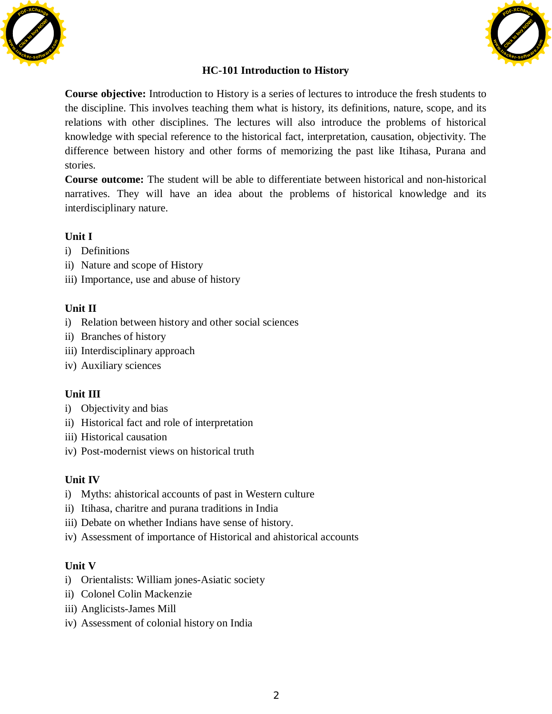



## **HC-101 Introduction to History**

**Course objective:** Introduction to History is a series of lectures to introduce the fresh students to the discipline. This involves teaching them what is history, its definitions, nature, scope, and its relations with other disciplines. The lectures will also introduce the problems of historical knowledge with special reference to the historical fact, interpretation, causation, objectivity. The difference between history and other forms of memorizing the past like Itihasa, Purana and stories.

**Course outcome:** The student will be able to differentiate between historical and non-historical narratives. They will have an idea about the problems of historical knowledge and its interdisciplinary nature.

#### **Unit I**

- i) Definitions
- ii) Nature and scope of History
- iii) Importance, use and abuse of history

#### **Unit II**

- i) Relation between history and other social sciences
- ii) Branches of history
- iii) Interdisciplinary approach
- iv) Auxiliary sciences

#### **Unit III**

- i) Objectivity and bias
- ii) Historical fact and role of interpretation
- iii) Historical causation
- iv) Post-modernist views on historical truth

#### **Unit IV**

- i) Myths: ahistorical accounts of past in Western culture
- ii) Itihasa, charitre and purana traditions in India
- iii) Debate on whether Indians have sense of history.
- iv) Assessment of importance of Historical and ahistorical accounts

#### **Unit V**

- i) Orientalists: William jones-Asiatic society
- ii) Colonel Colin Mackenzie
- iii) Anglicists-James Mill
- iv) Assessment of colonial history on India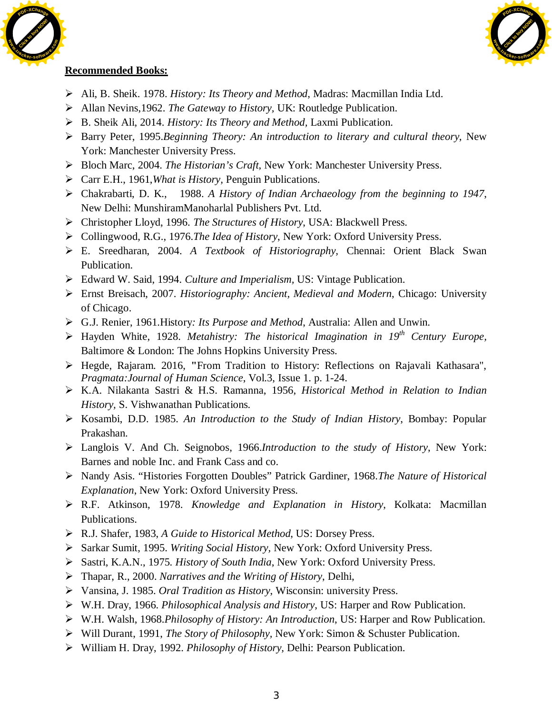



- ¾ Ali, B. Sheik. 1978. *History: Its Theory and Method*, Madras: Macmillan India Ltd.
- ¾ Allan Nevins,1962. *The Gateway to History,* UK: Routledge Publication.
- ¾ B. Sheik Ali, 2014. *History: Its Theory and Method,* Laxmi Publication.
- ¾ Barry Peter, 1995.*Beginning Theory: An introduction to literary and cultural theory*, New York: Manchester University Press.
- ¾ Bloch Marc, 2004. *The Historian's Craft*, New York: Manchester University Press.
- ¾ Carr E.H., 1961,*What is History,* Penguin Publications.
- ¾ Chakrabarti, D. K., 1988. *A History of Indian Archaeology from the beginning to 1947*, New Delhi: MunshiramManoharlal Publishers Pvt. Ltd.
- ¾ Christopher Lloyd, 1996. *The Structures of History*, USA: Blackwell Press.
- ¾ Collingwood, R.G., 1976.*The Idea of History*, New York: Oxford University Press.
- ¾ E. Sreedharan, 2004. *A Textbook of Historiography,* Chennai: Orient Black Swan Publication.
- ¾ Edward W. Said, 1994. *Culture and Imperialism,* US: Vintage Publication.
- ¾ Ernst Breisach, 2007. *Historiography: Ancient, Medieval and Modern*, Chicago: University of Chicago.
- ¾ G.J. Renier, 1961.History*: Its Purpose and Method*, Australia: Allen and Unwin.
- ¾ Hayden White, 1928. *Metahistry: The historical Imagination in 19th Century Europe,*  Baltimore & London: The Johns Hopkins University Press.
- ¾ Hegde, Rajaram. 2016, **"**From Tradition to History: Reflections on Rajavali Kathasara", *Pragmata:Journal of Human Science*, Vol.3, Issue 1. p. 1-24.
- ¾ K.A. Nilakanta Sastri & H.S. Ramanna, 1956, *Historical Method in Relation to Indian History,* S. Vishwanathan Publications.
- ¾ Kosambi, D.D. 1985. *An Introduction to the Study of Indian History*, Bombay: Popular Prakashan.
- ¾ Langlois V. And Ch. Seignobos, 1966.*Introduction to the study of History*, New York: Barnes and noble Inc. and Frank Cass and co.
- ¾ Nandy Asis. "Histories Forgotten Doubles" Patrick Gardiner, 1968.*The Nature of Historical Explanation*, New York: Oxford University Press.
- ¾ R.F. Atkinson, 1978. *Knowledge and Explanation in History*, Kolkata: Macmillan Publications.
- ¾ R.J. Shafer, 1983, *A Guide to Historical Method*, US: Dorsey Press.
- ¾ Sarkar Sumit, 1995. *Writing Social History,* New York: Oxford University Press.
- ¾ Sastri, K.A.N., 1975. *History of South India*, New York: Oxford University Press.
- ¾ Thapar, R., 2000. *Narratives and the Writing of History*, Delhi,
- ¾ Vansina, J. 1985. *Oral Tradition as History*, Wisconsin: university Press.
- ¾ W.H. Dray, 1966. *Philosophical Analysis and History*, US: Harper and Row Publication.
- ¾ W.H. Walsh, 1968.*Philosophy of History: An Introduction*, US: Harper and Row Publication.
- ¾ Will Durant, 1991, *The Story of Philosophy,* New York: Simon & Schuster Publication.
- ¾ William H. Dray, 1992. *Philosophy of History,* Delhi: Pearson Publication.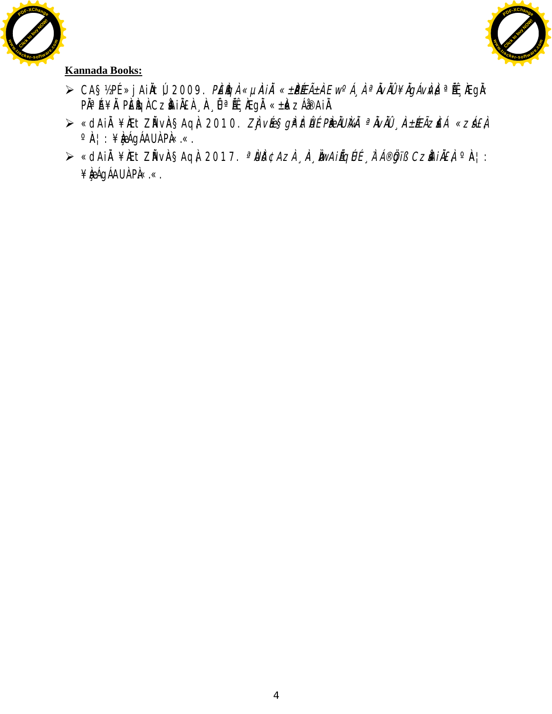



- ≫ CA§½PÉ »jAiÀtÚ, 2009. *PÉÌQÀ «µìÀiĂ «±PɱÀEw<sup>o</sup>Á¸ À ªĂvĂÛ ¥ĂgÁvÌvÀ* ªĚŸÆgÀ: P˻́A¥À PÈÎGÀ CzÀHÀ£À ¸À¸Ü ªÄɸÀEgÀ «±À«zÁð¤AiÀ.
- ≫ «dAiÀ¥ÆtZĂvÀ§AqÀ, 2010. *ZÌjvée§gì<sup>a</sup>ìtŮÉ PíeáÜlkiÄ <sup>a</sup>ĂvÀÜ* "˱ÆÃZ£Á *«zá£À*  $\circ \mathbb{A}$  : ¥ $\mathbb{A}$ gágÁAUÀ PÀ«.«.
- ≻ «dAiÀ¥ÆtZĂvÀ§AqÀ, 2017. *ªÙĎ¢AzÀ ¸À, ÌwAiĹqÚÉ ¸À∶Á®Öjiß CzìAiĂ£À* °À¦: ¥**kégá**gáAU À Pà«.«.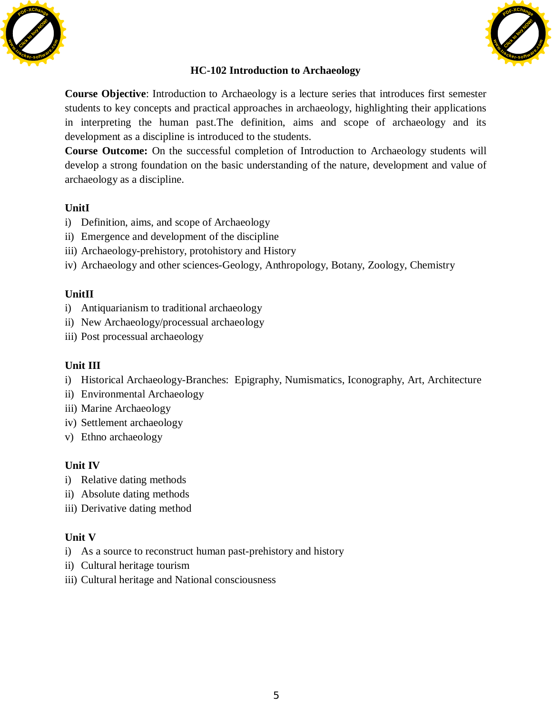



### **HC-102 Introduction to Archaeology**

**Course Objective**: Introduction to Archaeology is a lecture series that introduces first semester students to key concepts and practical approaches in archaeology, highlighting their applications in interpreting the human past.The definition, aims and scope of archaeology and its development as a discipline is introduced to the students.

**Course Outcome:** On the successful completion of Introduction to Archaeology students will develop a strong foundation on the basic understanding of the nature, development and value of archaeology as a discipline.

#### **UnitI**

- i) Definition, aims, and scope of Archaeology
- ii) Emergence and development of the discipline
- iii) Archaeology-prehistory, protohistory and History
- iv) Archaeology and other sciences-Geology, Anthropology, Botany, Zoology, Chemistry

#### **UnitII**

- i) Antiquarianism to traditional archaeology
- ii) New Archaeology/processual archaeology
- iii) Post processual archaeology

#### **Unit III**

- i) Historical Archaeology-Branches: Epigraphy, Numismatics, Iconography, Art, Architecture
- ii) Environmental Archaeology
- iii) Marine Archaeology
- iv) Settlement archaeology
- v) Ethno archaeology

#### **Unit IV**

- i) Relative dating methods
- ii) Absolute dating methods
- iii) Derivative dating method

#### **Unit V**

- i) As a source to reconstruct human past-prehistory and history
- ii) Cultural heritage tourism
- iii) Cultural heritage and National consciousness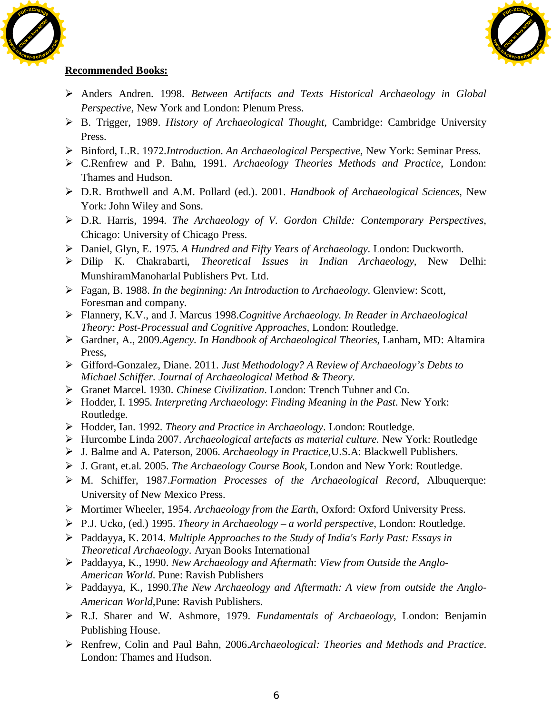



- ¾ Anders Andren. 1998. *Between Artifacts and Texts Historical Archaeology in Global Perspective,* New York and London: Plenum Press.
- ¾ B. Trigger, 1989. *History of Archaeological Thought*, Cambridge: Cambridge University Press.
- ¾ Binford, L.R. 1972.*Introduction. An Archaeological Perspective,* New York: Seminar Press.
- ¾ C.Renfrew and P. Bahn, 1991. *Archaeology Theories Methods and Practice*, London: Thames and Hudson.
- ¾ D.R. Brothwell and A.M. Pollard (ed.). 2001. *Handbook of Archaeological Sciences*, New York: John Wiley and Sons.
- ¾ D.R. Harris, 1994. *The Archaeology of V. Gordon Childe: Contemporary Perspectives*, Chicago: University of Chicago Press.
- ¾ Daniel, Glyn, E. 1975. *A Hundred and Fifty Years of Archaeology*. London: Duckworth.
- ¾ Dilip K. Chakrabarti, *Theoretical Issues in Indian Archaeology*, New Delhi: MunshiramManoharlal Publishers Pvt. Ltd.
- ¾ Fagan, B. 1988. *In the beginning: An Introduction to Archaeology*. Glenview: Scott, Foresman and company.
- ¾ Flannery, K.V., and J. Marcus 1998.*Cognitive Archaeology. In Reader in Archaeological Theory: Post-Processual and Cognitive Approaches*, London: Routledge.
- ¾ Gardner, A., 2009.*Agency. In Handbook of Archaeological Theories*, Lanham, MD: Altamira Press,
- ¾ Gifford-Gonzalez, Diane. 2011. *Just Methodology? A Review of Archaeology's Debts to Michael Schiffer. Journal of Archaeological Method & Theory.*
- ¾ Granet Marcel. 1930. *Chinese Civilization*. London: Trench Tubner and Co.
- ¾ Hodder, I. 1995. *Interpreting Archaeology*: *Finding Meaning in the Past*. New York: Routledge.
- ¾ Hodder, Ian. 1992. *Theory and Practice in Archaeology*. London: Routledge.
- ¾ Hurcombe Linda 2007. *Archaeological artefacts as material culture.* New York: Routledge
- ¾ J. Balme and A. Paterson, 2006. *Archaeology in Practice*,U.S.A: Blackwell Publishers.
- ¾ J. Grant, et.al. 2005. *The Archaeology Course Book*, London and New York: Routledge.
- ¾ M. Schiffer, 1987.*Formation Processes of the Archaeological Record*, Albuquerque: University of New Mexico Press.
- ¾ Mortimer Wheeler, 1954. *Archaeology from the Earth*, Oxford: Oxford University Press.
- ¾ P.J. Ucko, (ed.) 1995. *Theory in Archaeology a world perspective*, London: Routledge.
- ¾ Paddayya, K. 2014. *Multiple Approaches to the Study of India's Early Past: Essays in Theoretical Archaeology*. Aryan Books International
- ¾ Paddayya, K., 1990. *New Archaeology and Aftermath*: *View from Outside the Anglo-American World*. Pune: Ravish Publishers
- ¾ Paddayya, K., 1990.*The New Archaeology and Aftermath: A view from outside the Anglo-American World*,Pune: Ravish Publishers.
- ¾ R.J. Sharer and W. Ashmore, 1979. *Fundamentals of Archaeology*, London: Benjamin Publishing House.
- ¾ Renfrew, Colin and Paul Bahn, 2006.*Archaeological: Theories and Methods and Practice*. London: Thames and Hudson.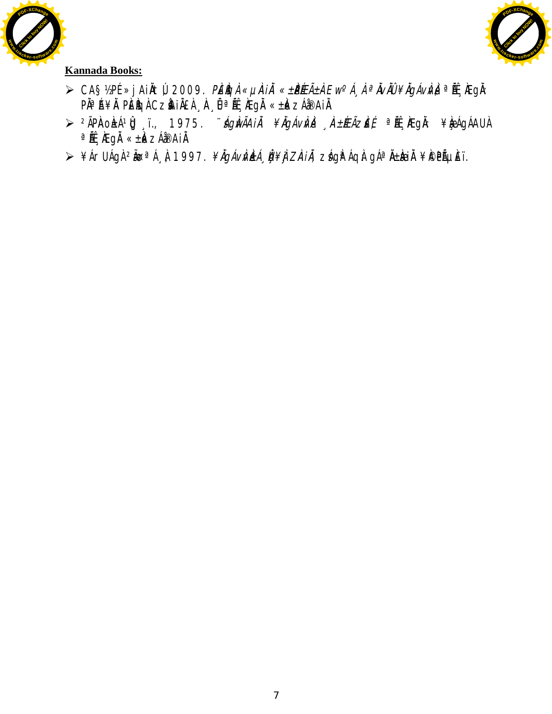



- ≫ CA§½PÉ »jAiÀtÚ, 2009. *PÉÌQÀ «µìÀiĂ «±PɱÀEw<sup>o</sup>Á¸ À ªĂvĂÛ ¥ĂgÁvÌvÀ* ªĚŸÆgÀ: P˻Á¥À PĚÌGÀ CZÌAIÀEÀ "À"ÔªÍL; ÀEgÀ «±À«zÁðAIÀ
- ≫ <sup>2</sup>ÃPìAoÀ±ÁºÛJ,ï., 1975. *¨ágìwÃAiÀ ¥ÌlgÁvÌvÀ "ìA± ÉEÃZiE£ ª* Áf<sub>s</sub>ìÆgÀ: ¥ÀæÅgÁAU À  $a$ ÄÉ MEgÄ « $\pm k$ k ZÁ $\infty$ AiÄ.
- ⊁¥ÁrUÁgÀ <sup>2</sup>ĂœªÁ¸À, 1997. *¥ĂgÁvÌVŁÁ¸ÎI ¥ÌJ ZÌAI À, zś*IgÈÁqÀ gÁªÀ±À<del>ci</del>À ¥I©PõÈï.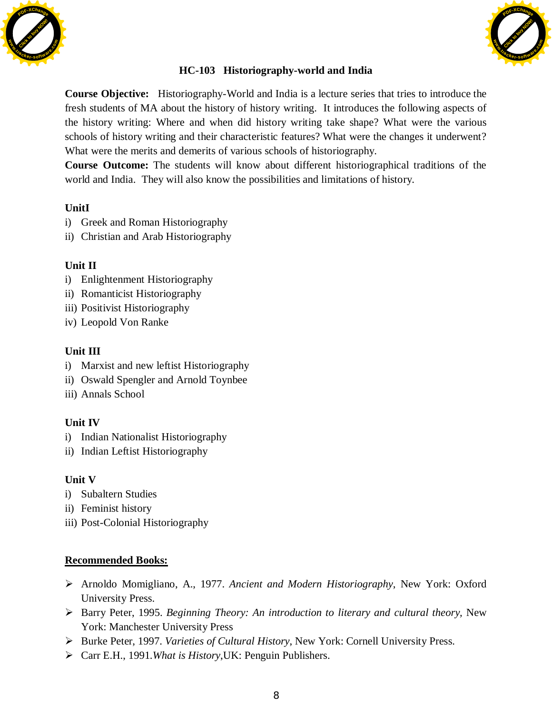



## **HC-103 Historiography-world and India**

**Course Objective:** Historiography-World and India is a lecture series that tries to introduce the fresh students of MA about the history of history writing. It introduces the following aspects of the history writing: Where and when did history writing take shape? What were the various schools of history writing and their characteristic features? What were the changes it underwent? What were the merits and demerits of various schools of historiography.

**Course Outcome:** The students will know about different historiographical traditions of the world and India. They will also know the possibilities and limitations of history.

## **UnitI**

- i) Greek and Roman Historiography
- ii) Christian and Arab Historiography

## **Unit II**

- i) Enlightenment Historiography
- ii) Romanticist Historiography
- iii) Positivist Historiography
- iv) Leopold Von Ranke

## **Unit III**

- i) Marxist and new leftist Historiography
- ii) Oswald Spengler and Arnold Toynbee
- iii) Annals School

## **Unit IV**

- i) Indian Nationalist Historiography
- ii) Indian Leftist Historiography

#### **Unit V**

- i) Subaltern Studies
- ii) Feminist history
- iii) Post-Colonial Historiography

- ¾ Arnoldo Momigliano, A., 1977. *Ancient and Modern Historiography*, New York: Oxford University Press.
- ¾ Barry Peter, 1995. *Beginning Theory: An introduction to literary and cultural theory,* New York: Manchester University Press
- ¾ Burke Peter, 1997. *Varieties of Cultural History*, New York: Cornell University Press.
- ¾ Carr E.H., 1991.*What is History*,UK: Penguin Publishers.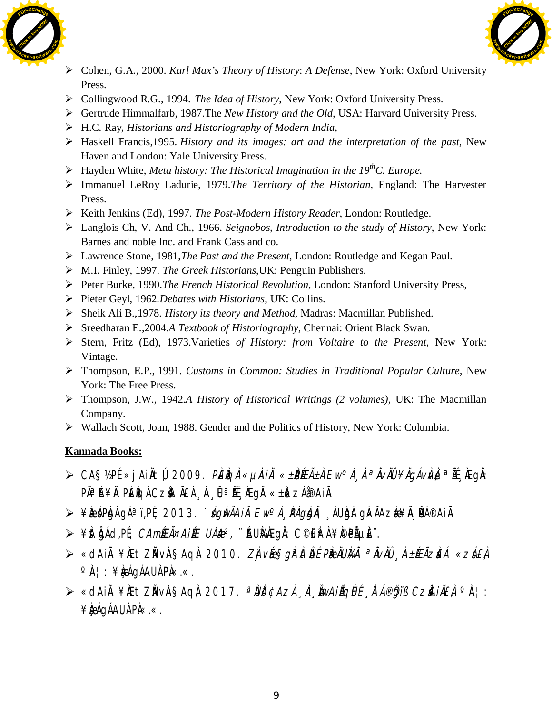



- ¾ Cohen, G.A., 2000. *Karl Max's Theory of History*: *A Defense*, New York: Oxford University Press.
- ¾ Collingwood R.G., 1994. *The Idea of History*, New York: Oxford University Press.
- ¾ Gertrude Himmalfarb, 1987.The *New History and the Old*, USA: Harvard University Press.
- ¾ H.C. Ray, *Historians and Historiography of Modern India,*
- ¾ Haskell Francis,1995. *History and its images: art and the interpretation of the past*, New Haven and London: Yale University Press.
- ¾ Hayden White, *Meta history: The Historical Imagination in the 19thC. Europe.*
- ¾ Immanuel LeRoy Ladurie, 1979.*The Territory of the Historian*, England: The Harvester Press.
- ¾ Keith Jenkins (Ed), 1997. *The Post-Modern History Reader*, London: Routledge.
- ¾ Langlois Ch, V. And Ch., 1966. *Seignobos, Introduction to the study of History*, New York: Barnes and noble Inc. and Frank Cass and co.
- ¾ Lawrence Stone, 1981,*The Past and the Present*, London: Routledge and Kegan Paul.
- ¾ M.I. Finley, 1997. *The Greek Historians*,UK: Penguin Publishers.
- ¾ Peter Burke, 1990.*The French Historical Revolution*, London: Stanford University Press,
- ¾ Pieter Geyl, 1962*.Debates with Historians*, UK: Collins.
- ¾ Sheik Ali B.,1978. *History its theory and Method*, Madras: Macmillan Published.
- ¾ [Sreedharan E.](https://www.amazon.in/s/ref=dp_byline_sr_book_1?ie=UTF8&field-author=Sreedharan+E.&search-alias=stripbooks),2004.*A Textbook of Historiography*, Chennai: Orient Black Swan.
- ¾ Stern, Fritz (Ed), 1973.Varieties *of History: from Voltaire to the Present*, New York: Vintage.
- ¾ Thompson, E.P., 1991. *Customs in Common: Studies in Traditional Popular Culture,* New York: The Free Press.
- ¾ Thompson, J.W., 1942.*A History of Historical Writings (2 volumes),* UK: The Macmillan Company.
- ¾ Wallach Scott, Joan, 1988. Gender and the Politics of History, New York: Columbia.

- ⊁ CA§½PÉ »jAiÀtÚ, 2009. *PÉÈGÀ «µiÀiĂ «±PÉEñÀ Ew°Á, À ªĂvĂÛ ¥ĂgÁvÀvÀ* ªĚL ÀEgÀ: P˻Á¥À PÈÈGÀ CZÀHÀEÀ À ÛªLÉ ÆgÀ «±À«zÁðAIÀ
- $\triangleright$  ¥ÀæÁPÀgÀ gÁªï,PÉ, 2013. *¨AgÀwÃAiÀ Ew<sup>o</sup>Á PÁgÀgÀ*, ÁUÀgÀ: gÀ«ÃAzÀæ¥À PÁ®AiÀ.
- ≫ ¥it IgÁd,PÉ, *CAmÍÆÃ¤AIÉE UÁÆ?*, ¨ÁU̼ÆgÌ: C©EP À ¥Ì©PõÈï.
- ≫ «dAiÀ¥ÆtZŇvÀ§AqÌ, 2010. *ZÌ vé§gì<sup>a</sup>ìtÛÉ PÈBLU̼À ªÀvÀÜ ¸À±ÆÃziEÁ «zá£j*  $\circ \mathbb{A}$ : ¥ $\mathbb{A}$ a gáqáau $\mathbb{A}$  P $\mathbb{A}$ «.«.
- ≫ «dAiÀ¥ÆtZĂvÀ§AqÀ, 2017. *ªÙĎ¢Azì*, À, ÀwA*iÁqÚÉ À Á®Öjiß CzhiĂ£À* °À¦:  $\angle$ **kégágáau Pi«.«.**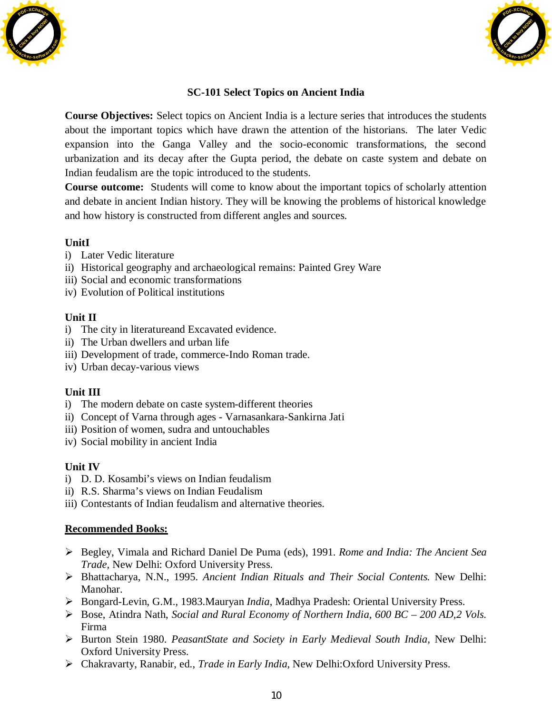



## **SC-101 Select Topics on Ancient India**

**Course Objectives:** Select topics on Ancient India is a lecture series that introduces the students about the important topics which have drawn the attention of the historians. The later Vedic expansion into the Ganga Valley and the socio-economic transformations, the second urbanization and its decay after the Gupta period, the debate on caste system and debate on Indian feudalism are the topic introduced to the students. **SC-101 Select Topics on Ancient India**<br> **Channel Objectives:** Schet Works the duration describes the model in the state of the interdependent of the line<br>
in compute in the state in the state in Early India and the state

**Course outcome:** Students will come to know about the important topics of scholarly attention and debate in ancient Indian history. They will be knowing the problems of historical knowledge and how history is constructed from different angles and sources.

## **UnitI**

- i) Later Vedic literature
- ii) Historical geography and archaeological remains: Painted Grey Ware
- iii) Social and economic transformations
- iv) Evolution of Political institutions

## **Unit II**

- i) The city in literatureand Excavated evidence.
- ii) The Urban dwellers and urban life
- iii) Development of trade, commerce-Indo Roman trade.
- iv) Urban decay-various views

## **Unit III**

- i) The modern debate on caste system-different theories
- ii) Concept of Varna through ages Varnasankara-Sankirna Jati
- iii) Position of women, sudra and untouchables
- iv) Social mobility in ancient India

## **Unit IV**

- i) D. D. Kosambi's views on Indian feudalism
- ii) R.S. Sharma's views on Indian Feudalism
- iii) Contestants of Indian feudalism and alternative theories.

- ¾ Begley, Vimala and Richard Daniel De Puma (eds), 1991. *Rome and India: The Ancient Sea Trade,* New Delhi: Oxford University Press.
- ¾ Bhattacharya, N.N., 1995. *Ancient Indian Rituals and Their Social Contents.* New Delhi: Manohar.
- ¾ Bongard-Levin, G.M., 1983.Mauryan *India*, Madhya Pradesh: Oriental University Press.
- ¾ Bose, Atindra Nath, *Social and Rural Economy of Northern India, 600 BC 200 AD,2 Vols.* Firma
- ¾ Burton Stein 1980. *PeasantState and Society in Early Medieval South India,* New Delhi: Oxford University Press.
-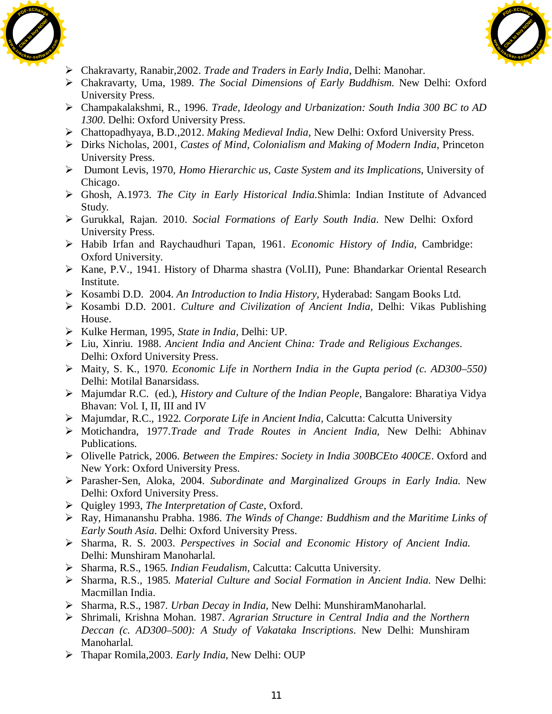



- ¾ Chakravarty, Ranabir,2002. *Trade and Traders in Early India*, Delhi: Manohar.
- ¾ Chakravarty, Uma, 1989. *The Social Dimensions of Early Buddhism.* New Delhi: Oxford University Press.
- ¾ Champakalakshmi, R., 1996. *Trade, Ideology and Urbanization: South India 300 BC to AD 1300*. Delhi: Oxford University Press.
- ¾ Chattopadhyaya, B.D.,2012. *Making Medieval India,* New Delhi: Oxford University Press.
- ¾ Dirks Nicholas, 2001, *Castes of Mind, Colonialism and Making of Modern India*, Princeton University Press.
- ¾ Dumont Levis, 1970, *Homo Hierarchic us*, *Caste System and its Implications*, University of Chicago.
- ¾ Ghosh, A.1973. *The City in Early Historical India.*Shimla: Indian Institute of Advanced Study.
- ¾ Gurukkal, Rajan. 2010. *Social Formations of Early South India*. New Delhi: Oxford University Press.
- ¾ Habib Irfan and Raychaudhuri Tapan, 1961. *Economic History of India,* Cambridge: Oxford University.
- ¾ Kane, P.V., 1941. History of Dharma shastra (Vol.II), Pune: Bhandarkar Oriental Research Institute.
- ¾ Kosambi D.D. 2004. *An Introduction to India History*, Hyderabad: Sangam Books Ltd.
- ¾ Kosambi D.D. 2001. *Culture and Civilization of Ancient India,* Delhi: Vikas Publishing House.
- ¾ Kulke Herman, 1995, *State in India,* Delhi: UP.
- ¾ Liu, Xinriu. 1988. *Ancient India and Ancient China: Trade and Religious Exchanges*. Delhi: Oxford University Press.
- ¾ Maity, S. K., 1970. *Economic Life in Northern India in the Gupta period (c. AD300–550)*  Delhi: Motilal Banarsidass.
- ¾ Majumdar R.C. (ed.), *History and Culture of the Indian People,* Bangalore: Bharatiya Vidya Bhavan: Vol. I, II, III and IV
- ¾ Majumdar, R.C., 1922. *Corporate Life in Ancient India,* Calcutta: Calcutta University
- ¾ Motichandra, 1977.*Trade and Trade Routes in Ancient India*, New Delhi: Abhinav Publications.
- ¾ Olivelle Patrick, 2006. *Between the Empires: Society in India 300BCEto 400CE*. Oxford and New York: Oxford University Press.
- ¾ Parasher-Sen, Aloka, 2004. *Subordinate and Marginalized Groups in Early India.* New Delhi: Oxford University Press.
- ¾ Quigley 1993, *The Interpretation of Caste*, Oxford.
- ¾ Ray, Himananshu Prabha. 1986. *The Winds of Change: Buddhism and the Maritime Links of Early South Asia*. Delhi: Oxford University Press.
- ¾ Sharma, R. S. 2003. *Perspectives in Social and Economic History of Ancient India.* Delhi: Munshiram Manoharlal.
- ¾ Sharma, R.S., 1965. *Indian Feudalism,* Calcutta: Calcutta University.
- ¾ Sharma, R.S., 1985. *Material Culture and Social Formation in Ancient India.* New Delhi: Macmillan India.
- ¾ Sharma, R.S., 1987. *Urban Decay in India*, New Delhi: MunshiramManoharlal.
- ¾ Shrimali, Krishna Mohan. 1987. *Agrarian Structure in Central India and the Northern Deccan (c. AD300–500): A Study of Vakataka Inscriptions*. New Delhi: Munshiram Manoharlal.
- ¾ Thapar Romila,2003. *Early India*, New Delhi: OUP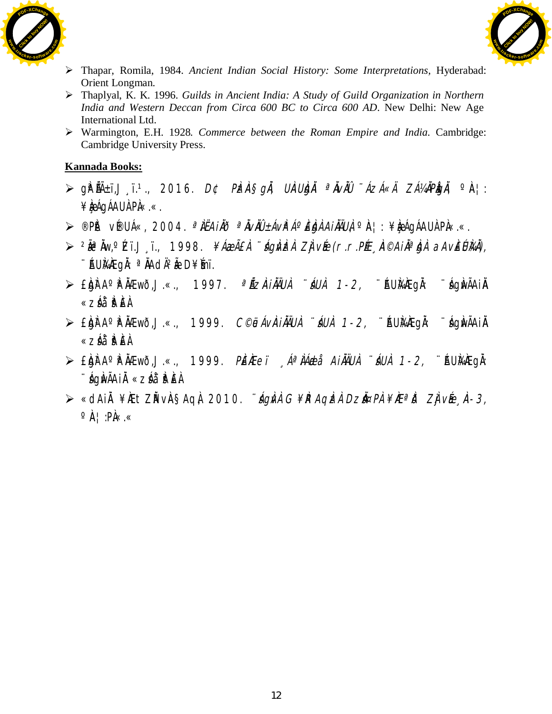



- ¾ Thapar, Romila, 1984. *Ancient Indian Social History: Some Interpretations,* Hyderabad: Orient Longman.
- ¾ Thaplyal, K. K. 1996. *Guilds in Ancient India: A Study of Guild Organization in Northern India and Western Deccan from Circa 600 BC to Circa 600 AD*. New Delhi: New Age International Ltd.
- ¾ Warmington, E.H. 1928*. Commerce between the Roman Empire and India.* Cambridge: Cambridge University Press.

- $\triangleright$  gip éā $\pm$ ï,J  $\cdot$ ï. $\cdot$ , 2016. D¢ Pizia§*gi*i, UiaUbjii <sup>a</sup>iviù "Ázá«Ä ZÁ¼iPigii, °ia¦:  $\angle$ **and**  $\angle$  **AU AU A** PA  $\ltimes$ .
- ¾ ®PÀ ët v É®UÁ«, 2004. ªÀiËAiÀÄð ªÀÄvÀÄÛ ±ÁvÀªÁºÀ£ÀgÀ AiÀÄÄUÀ, ºÀA¦: ¥Àæ¸ÁgÁAUÀ PÀ.«.«.
- ≫ <sup>2</sup>ĂêNw,°Cï.J¸ï., 1998. *¥ÁæÃ£Ì ¨ágÀdzi Zjvée(r.r.PÉE*,˩A*ilĭª.bji aAvÈÚli4l),* ∵ÁUÀ¼ÆgÀ: <sup>a</sup> ÄAdÄ<sup>2</sup>ÃeD¥Ímï.
- $\triangleright$  £bh A° Phaewõ,J.«., 1997. <sup>a</sup>Ázà*iÀAUÀ ¨ áUÀ 1-2,* ¨ ÁU Àkhegà: ¨ ághvÃAiÀ «záå¨èÈÀ
- $\triangleright$  £bh A° Fà $A$ Ewð,J.«., 1999. C©jeávàiàÄüà úáuà 1-2, ¨ÁUÀ¼ Eqì: ¨ágÀvÃAiÀ «záå¨è ÈÀ
- > £bhra° Phàewõ, J.«., 1999. Pèrei , Áª ÀÁeti AiÀÄUÀ i ÁUÀ 1-2, ¨ÁU À∆Æghi: ¨sÁgÀwÃAiÀÄ «zsÁå¨sÀªÀ£À.
- ⊁ «dAiÀ¥ÀEtZĂ vÀ§AqÀ, 2010. *¨ágÀn G¥ÀRAqÌznÀ Dzi¤PÀ¥ÀEªĬð ZÌjvÉe* Å-3,  $\circ \mathbb{A}$  | :P $\mathbb{A}$ «.«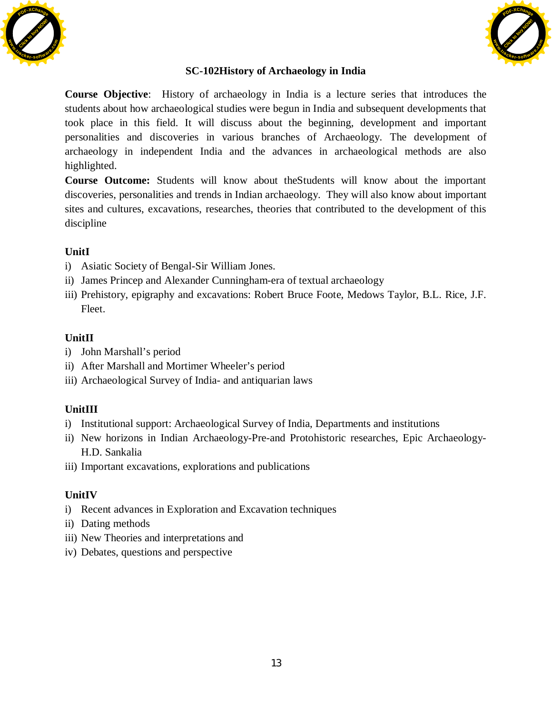



## **SC-102History of Archaeology in India**

**Course Objective**: History of archaeology in India is a lecture series that introduces the students about how archaeological studies were begun in India and subsequent developments that took place in this field. It will discuss about the beginning, development and important personalities and discoveries in various branches of Archaeology. The development of archaeology in independent India and the advances in archaeological methods are also highlighted.

**Course Outcome:** Students will know about the Students will know about the important discoveries, personalities and trends in Indian archaeology. They will also know about important sites and cultures, excavations, researches, theories that contributed to the development of this discipline

#### **UnitI**

- i) Asiatic Society of Bengal-Sir William Jones.
- ii) James Princep and Alexander Cunningham-era of textual archaeology
- iii) Prehistory, epigraphy and excavations: Robert Bruce Foote, Medows Taylor, B.L. Rice, J.F. Fleet.

## **UnitII**

- i) John Marshall's period
- ii) After Marshall and Mortimer Wheeler's period
- iii) Archaeological Survey of India- and antiquarian laws

## **UnitIII**

- i) Institutional support: Archaeological Survey of India, Departments and institutions
- ii) New horizons in Indian Archaeology-Pre-and Protohistoric researches, Epic Archaeology-H.D. Sankalia
- iii) Important excavations, explorations and publications

#### **UnitIV**

- i) Recent advances in Exploration and Excavation techniques
- ii) Dating methods
- iii) New Theories and interpretations and
- iv) Debates, questions and perspective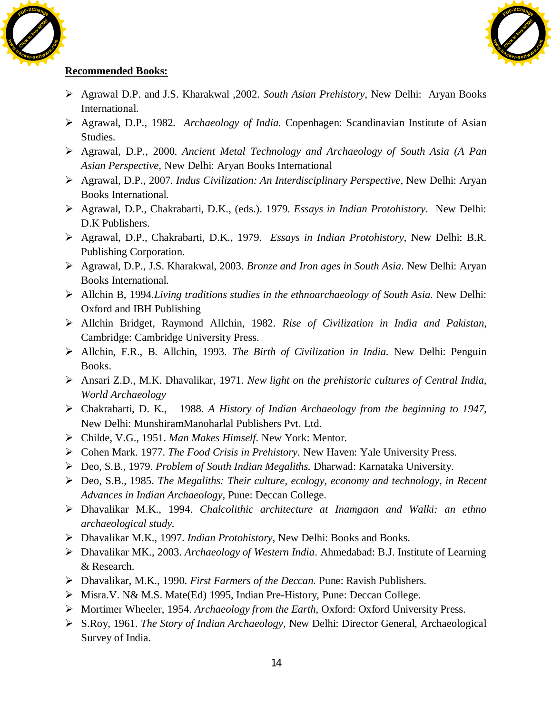



- ¾ Agrawal D.P. and J.S. Kharakwal ,2002. *South Asian Prehistory*, New Delhi: Aryan Books International.
- ¾ Agrawal, D.P., 1982. *Archaeology of India.* Copenhagen: Scandinavian Institute of Asian Studies.
- ¾ Agrawal, D.P., 2000. *Ancient Metal Technology and Archaeology of South Asia (A Pan Asian Perspective,* New Delhi: Aryan Books International
- ¾ Agrawal, D.P., 2007. *Indus Civilization: An Interdisciplinary Perspective,* New Delhi: Aryan Books International.
- ¾ Agrawal, D.P., Chakrabarti, D.K., (eds.). 1979. *Essays in Indian Protohistory*. New Delhi: D.K Publishers.
- ¾ Agrawal, D.P., Chakrabarti, D.K., 1979. *Essays in Indian Protohistory*, New Delhi: B.R. Publishing Corporation.
- ¾ Agrawal, D.P., J.S. Kharakwal, 2003. *Bronze and Iron ages in South Asia*. New Delhi: Aryan Books International.
- ¾ Allchin B, 1994.*Living traditions studies in the ethnoarchaeology of South Asia.* New Delhi: Oxford and IBH Publishing
- ¾ Allchin Bridget, Raymond Allchin, 1982. *Rise of Civilization in India and Pakistan,* Cambridge: Cambridge University Press.
- ¾ Allchin, F.R., B. Allchin, 1993. *The Birth of Civilization in India.* New Delhi: Penguin Books.
- ¾ Ansari Z.D., M.K. Dhavalikar, 1971. *New light on the prehistoric cultures of Central India, World Archaeology*
- ¾ Chakrabarti, D. K., 1988. *A History of Indian Archaeology from the beginning to 1947*, New Delhi: MunshiramManoharlal Publishers Pvt. Ltd.
- ¾ Childe, V.G., 1951. *Man Makes Himself.* New York: Mentor.
- ¾ Cohen Mark. 1977. *The Food Crisis in Prehistory*. New Haven: Yale University Press.
- ¾ Deo, S.B., 1979. *Problem of South Indian Megaliths.* Dharwad: Karnataka University.
- ¾ Deo, S.B., 1985. *The Megaliths: Their culture, ecology, economy and technology, in Recent Advances in Indian Archaeology,* Pune: Deccan College.
- ¾ Dhavalikar M.K., 1994. *Chalcolithic architecture at Inamgaon and Walki: an ethno archaeological study.*
- ¾ Dhavalikar M.K., 1997. *Indian Protohistory*, New Delhi: Books and Books.
- ¾ Dhavalikar MK., 2003. *Archaeology of Western India*. Ahmedabad: B.J. Institute of Learning & Research.
- ¾ Dhavalikar, M.K., 1990. *First Farmers of the Deccan.* Pune: Ravish Publishers.
- ¾ Misra.V. N& M.S. Mate(Ed) 1995, Indian Pre-History, Pune: Deccan College.
- ¾ Mortimer Wheeler, 1954. *Archaeology from the Earth*, Oxford: Oxford University Press.
- ¾ S.Roy, 1961. *The Story of Indian Archaeology,* New Delhi: Director General, Archaeological Survey of India.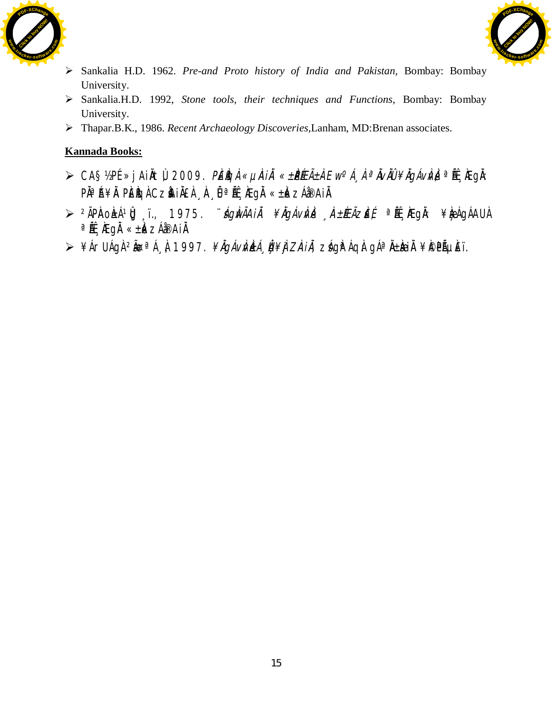



- ¾ Sankalia H.D. 1962. *Pre-and Proto history of India and Pakistan,* Bombay: Bombay University.
- ¾ Sankalia.H.D. 1992, *Stone tools, their techniques and Functions,* Bombay: Bombay University.
- ¾ Thapar.B.K., 1986. *Recent Archaeology Discoveries,*Lanham, MD:Brenan associates.

- ≻ CA§½PÉ »jAiÀtÚ, 2009. *PÉÈGÀ «µiÀiĂ «±PÉEñÀ Ew°Á" À ªĂvĂÜ ¥ÄgÁvivÀ* ªĚĹ, KEgÀ: P˻Á¥À PÈÈGÀ CZÀHÀEÀ À ÛªLÉ ÆgÀ «±À«zÁðAIÀ
- ≫ <sup>2</sup>ÃPíaoí±ÁºÛJ ï., 1975. *¨ágíwÃAiĂ¥ÄgÁvÀvÀ 'À±ÆÃziE{* ªi๊E 'IÆgǎ: ¥ÀæÁgÁAU À  $a$ Ä $\hat{E}$ <sub>A</sub> $\hat{E}$ gå « $\pm \hat{k}$   $\geq$ Á $\hat{B}$ Ai $\hat{A}$ .
- ⊁¥ÁrUÁgÀ <sup>2</sup>ܪÁ¸À, 1997. *¥ĂgÁvÌVLÀ, Ù ¥Ì, ZÌAi À, z*Ág̪ÁqÀ: gÁªÀ±Ì<del>Qi</del>À ¥Ì©PẾµĚï.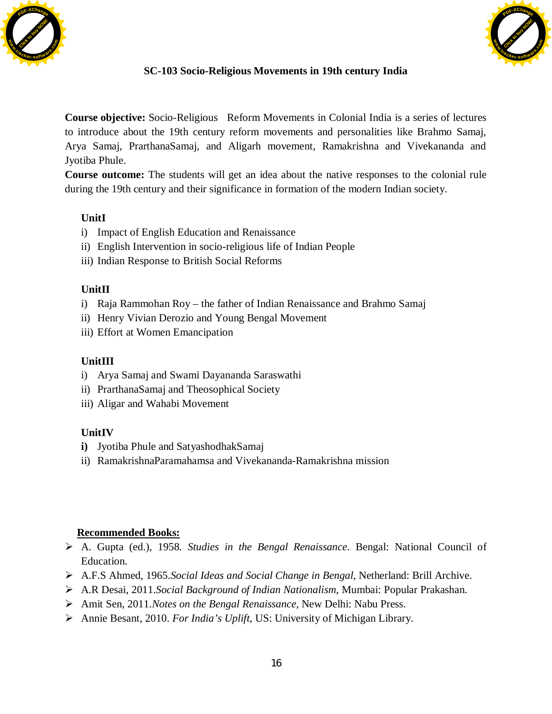



## **SC-103 Socio-Religious Movements in 19th century India**

**Course objective:** Socio-Religious Reform Movements in Colonial India is a series of lectures to introduce about the 19th century reform movements and personalities like Brahmo Samaj, Arya Samaj, PrarthanaSamaj, and Aligarh movement, Ramakrishna and Vivekananda and Jyotiba Phule.

**Course outcome:** The students will get an idea about the native responses to the colonial rule during the 19th century and their significance in formation of the modern Indian society.

## **UnitI**

- i) Impact of English Education and Renaissance
- ii) English Intervention in socio-religious life of Indian People
- iii) Indian Response to British Social Reforms

## **UnitII**

- i) Raja Rammohan Roy the father of Indian Renaissance and Brahmo Samaj
- ii) Henry Vivian Derozio and Young Bengal Movement
- iii) Effort at Women Emancipation

#### **UnitIII**

- i) Arya Samaj and Swami Dayananda Saraswathi
- ii) PrarthanaSamaj and Theosophical Society
- iii) Aligar and Wahabi Movement

#### **UnitIV**

- **i)** Jyotiba Phule and SatyashodhakSamaj
- ii) RamakrishnaParamahamsa and Vivekananda-Ramakrishna mission

- ¾ A. Gupta (ed.), 1958. *Studies in the Bengal Renaissance*. Bengal: National Council of Education.
- ¾ A.F.S Ahmed, 1965.*Social Ideas and Social Change in Bengal*, Netherland: Brill Archive.
- ¾ A.R Desai, 2011.*Social Background of Indian Nationalism*, Mumbai: Popular Prakashan.
- ¾ Amit Sen, 2011.*Notes on the Bengal Renaissance*, New Delhi: Nabu Press.
- ¾ Annie Besant, 2010. *For India's Uplift*, US: University of Michigan Library.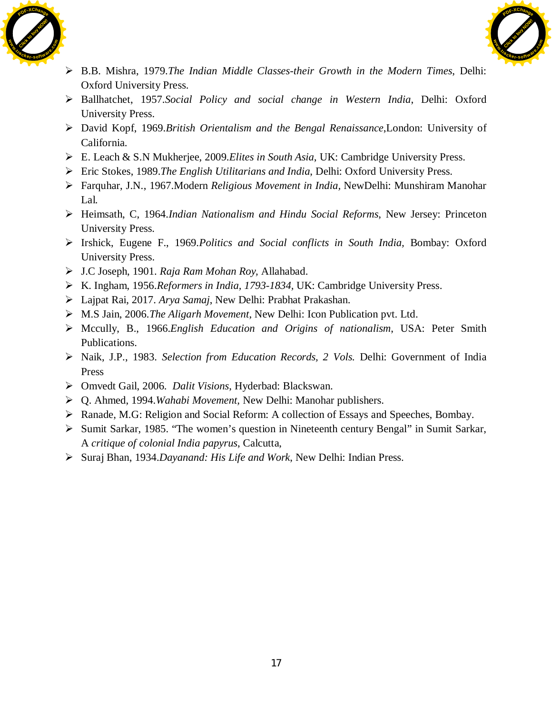



- ¾ B.B. Mishra, 1979.*The Indian Middle Classes-their Growth in the Modern Times*, Delhi: Oxford University Press.
- ¾ Ballhatchet, 1957.*Social Policy and social change in Western India*, Delhi: Oxford University Press.
- ¾ David Kopf, 1969.*British Orientalism and the Bengal Renaissance*,London: University of California.
- ¾ E. Leach & S.N Mukherjee, 2009.*Elites in South Asia*, UK: Cambridge University Press.
- ¾ Eric Stokes, 1989.*The English Utilitarians and India*, Delhi: Oxford University Press.
- ¾ Farquhar, J.N., 1967.Modern *Religious Movement in India,* NewDelhi: Munshiram Manohar Lal.
- ¾ Heimsath, C, 1964.*Indian Nationalism and Hindu Social Reforms*, New Jersey: Princeton University Press.
- ¾ Irshick, Eugene F., 1969.*Politics and Social conflicts in South India,* Bombay: Oxford University Press.
- ¾ J.C Joseph, 1901. *Raja Ram Mohan Roy,* Allahabad.
- ¾ K. Ingham, 1956.*Reformers in India, 1793-1834,* UK: Cambridge University Press.
- ¾ Lajpat Rai, 2017. *Arya Samaj*, New Delhi: Prabhat Prakashan.
- ¾ M.S Jain, 2006.*The Aligarh Movement*, New Delhi: Icon Publication pvt. Ltd.
- ¾ Mccully, B., 1966.*English Education and Origins of nationalism*, USA: Peter Smith Publications.
- ¾ Naik, J.P., 1983. *Selection from Education Records, 2 Vols.* Delhi: Government of India Press
- ¾ Omvedt Gail, 2006. *Dalit Visions*, Hyderbad: Blackswan.
- ¾ Q. Ahmed, 1994.*Wahabi Movement,* New Delhi: Manohar publishers.
- ¾ Ranade, M.G: Religion and Social Reform: A collection of Essays and Speeches, Bombay.
- ¾ Sumit Sarkar, 1985. "The women's question in Nineteenth century Bengal" in Sumit Sarkar, A *critique of colonial India papyrus*, Calcutta,
- ¾ Suraj Bhan, 1934.*Dayanand: His Life and Work*, New Delhi: Indian Press.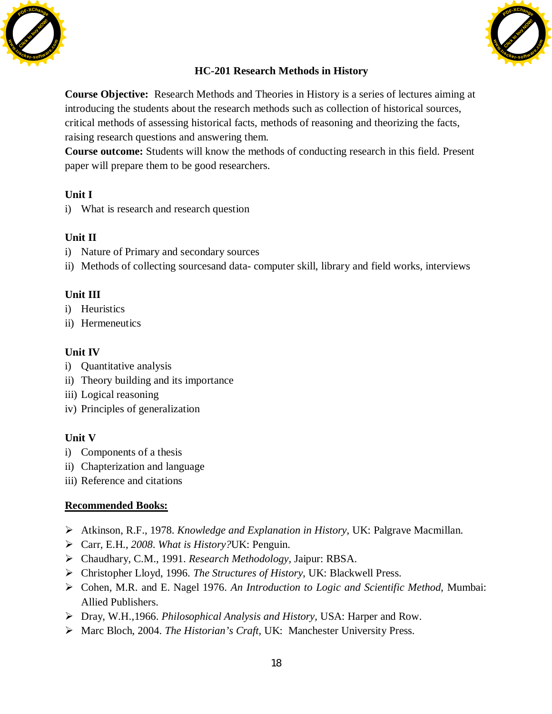



## **HC-201 Research Methods in History**

**Course Objective:** Research Methods and Theories in History is a series of lectures aiming at introducing the students about the research methods such as collection of historical sources, critical methods of assessing historical facts, methods of reasoning and theorizing the facts, raising research questions and answering them.

**Course outcome:** Students will know the methods of conducting research in this field. Present paper will prepare them to be good researchers.

## **Unit I**

i) What is research and research question

## **Unit II**

- i) Nature of Primary and secondary sources
- ii) Methods of collecting sourcesand data- computer skill, library and field works, interviews

#### **Unit III**

- i) Heuristics
- ii) Hermeneutics

## **Unit IV**

- i) Quantitative analysis
- ii) Theory building and its importance
- iii) Logical reasoning
- iv) Principles of generalization

#### **Unit V**

- i) Components of a thesis
- ii) Chapterization and language
- iii) Reference and citations

- ¾ Atkinson, R.F., 1978. *Knowledge and Explanation in History,* UK: Palgrave Macmillan.
- ¾ Carr, E.H., *2008*. *What is History?*UK: Penguin.
- ¾ Chaudhary, C.M., 1991. *Research Methodology,* Jaipur: RBSA.
- ¾ Christopher Lloyd, 1996. *The Structures of History*, UK: Blackwell Press.
- ¾ Cohen, M.R. and E. Nagel 1976. *An Introduction to Logic and Scientific Method*, Mumbai: Allied Publishers.
- ¾ Dray, W.H.,1966. *Philosophical Analysis and History,* USA: Harper and Row.
- ¾ Marc Bloch, 2004. *The Historian's Craft,* UK: Manchester University Press.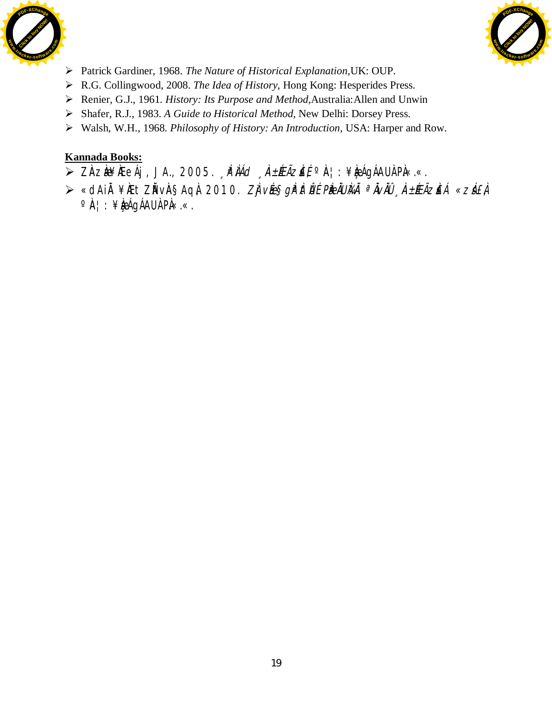



- ¾ Patrick Gardiner, 1968. *The Nature of Historical Explanation,*UK: OUP.
- ¾ R.G. Collingwood, 2008. *The Idea of History*, Hong Kong: Hesperides Press.
- ¾ Renier, G.J., 1961. *History: Its Purpose and Method,*Australia:Allen and Unwin
- ¾ Shafer, R.J., 1983. *A Guide to Historical Method,* New Delhi: Dorsey Press.
- ¾ Walsh, W.H., 1968. *Philosophy of History: An Introduction,* USA: Harper and Row.

- ≥ ZÀZÀ¥ÆeÁj, JA., 2005. *"PÌÁd "À±ÆÃZĚÉ* °À¦: ¥À¤ÁgÁAUÀ PÀ«.«.
- ⊁ «dAiÀ¥ÆtZĂvÀ§AqÀ, 2010. *ZÌ vée§gì<sup>p</sup>itÛÉ PiedIUìkiÄ ªĂvĂÜ "À±ÆÃzi£Á «zá£À* °À¦: ¥Àæ∫qÁAUÀ PÀ«.«.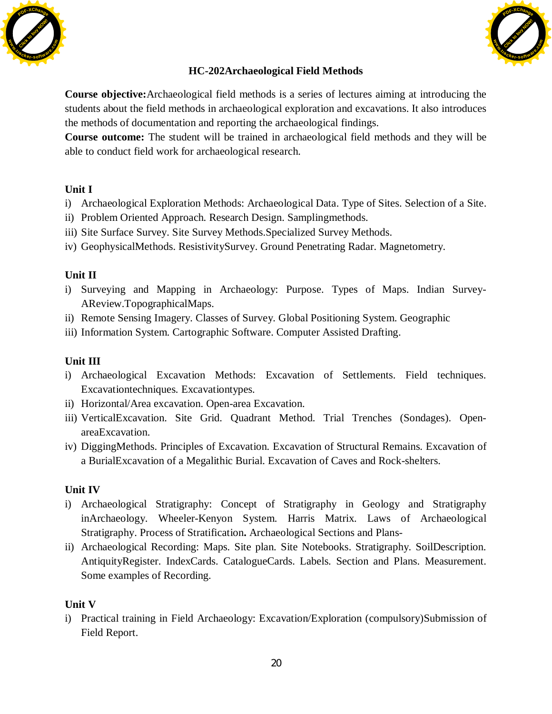



## **HC-202Archaeological Field Methods**

**Course objective:**Archaeological field methods is a series of lectures aiming at introducing the students about the field methods in archaeological exploration and excavations. It also introduces the methods of documentation and reporting the archaeological findings.

**Course outcome:** The student will be trained in archaeological field methods and they will be able to conduct field work for archaeological research.

## **Unit I**

- i) Archaeological Exploration Methods: Archaeological Data. Type of Sites. Selection of a Site.
- ii) Problem Oriented Approach. Research Design. Samplingmethods.
- iii) Site Surface Survey. Site Survey Methods.Specialized Survey Methods.
- iv) GeophysicalMethods. ResistivitySurvey. Ground Penetrating Radar. Magnetometry.

## **Unit II**

- i) Surveying and Mapping in Archaeology: Purpose. Types of Maps. Indian Survey-AReview.TopographicalMaps.
- ii) Remote Sensing Imagery. Classes of Survey. Global Positioning System. Geographic
- iii) Information System. Cartographic Software. Computer Assisted Drafting.

## **Unit III**

- i) Archaeological Excavation Methods: Excavation of Settlements. Field techniques. Excavationtechniques. Excavationtypes.
- ii) Horizontal/Area excavation. Open-area Excavation.
- iii) VerticalExcavation. Site Grid. Quadrant Method. Trial Trenches (Sondages). OpenareaExcavation.
- iv) DiggingMethods. Principles of Excavation. Excavation of Structural Remains. Excavation of a BurialExcavation of a Megalithic Burial. Excavation of Caves and Rock-shelters.

## **Unit IV**

- i) Archaeological Stratigraphy: Concept of Stratigraphy in Geology and Stratigraphy inArchaeology. Wheeler-Kenyon System. Harris Matrix. Laws of Archaeological Stratigraphy. Process of Stratification**.** Archaeological Sections and Plans-
- ii) Archaeological Recording: Maps. Site plan. Site Notebooks. Stratigraphy. SoilDescription. AntiquityRegister. IndexCards. CatalogueCards. Labels. Section and Plans. Measurement. Some examples of Recording.

## **Unit V**

i) Practical training in Field Archaeology: Excavation/Exploration (compulsory)Submission of Field Report.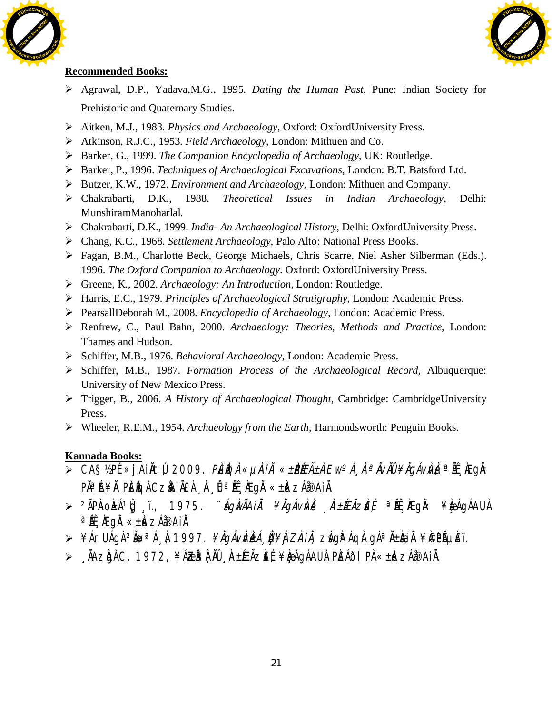



## **Recommended Books:**

- ¾ Agrawal, D.P., Yadava,M.G., 1995. *Dating the Human Past*, Pune: Indian Society for Prehistoric and Quaternary Studies.
- ¾ Aitken, M.J., 1983. *Physics and Archaeology*, Oxford: OxfordUniversity Press.
- ¾ Atkinson, R.J.C., 1953. *Field Archaeology*, London: Mithuen and Co.
- ¾ Barker, G., 1999. *The Companion Encyclopedia of Archaeology*, UK: Routledge.
- ¾ Barker, P., 1996. *Techniques of Archaeological Excavations*, London: B.T. Batsford Ltd.
- ¾ Butzer, K.W., 1972. *Environment and Archaeology*, London: Mithuen and Company.
- ¾ Chakrabarti, D.K., 1988. *Theoretical Issues in Indian Archaeology*, Delhi: MunshiramManoharlal.
- ¾ Chakrabarti, D.K., 1999. *India- An Archaeological History*, Delhi: OxfordUniversity Press.
- ¾ Chang, K.C., 1968. *Settlement Archaeology*, Palo Alto: National Press Books.
- ¾ Fagan, B.M., Charlotte Beck, George Michaels, Chris Scarre, Niel Asher Silberman (Eds.). 1996. *The Oxford Companion to Archaeology*. Oxford: OxfordUniversity Press.
- ¾ Greene, K., 2002. *Archaeology: An Introduction*, London: Routledge.
- ¾ Harris, E.C., 1979. *Principles of Archaeological Stratigraphy*, London: Academic Press.
- ¾ PearsallDeborah M., 2008. *Encyclopedia of Archaeology*, London: Academic Press.
- ¾ Renfrew, C., Paul Bahn, 2000. *Archaeology: Theories, Methods and Practice*, London: Thames and Hudson.
- ¾ Schiffer, M.B., 1976. *Behavioral Archaeology*, London: Academic Press.
- ¾ Schiffer, M.B., 1987. *Formation Process of the Archaeological Record*, Albuquerque: University of New Mexico Press.
- ¾ Trigger, B., 2006. *A History of Archaeological Thought*, Cambridge: CambridgeUniversity Press.
- ¾ Wheeler, R.E.M., 1954. *Archaeology from the Earth*, Harmondsworth: Penguin Books.

- $\overline{\triangleright}$  CA§½PÉ »jAi $\overline{\lambda}$ tú, 2009. *Pèigi «µiAii «±PéEñ à Ew°Á¸ à ª Àviù ¥igávivi*; <sup>a</sup> éé, iegà: P˻Á¥À PÈÈGÀ CZÀNIÀEÀ À ÛªÁE ÆgÀ «±À«zÁ@AIÀ.
- > <sup>2</sup>ÃPŘOŁÁºÛJ;ï., 1975. *¨ágÀvÃAiÀ ¥ÀgÁvÀvÀ À±ÆÃzie{* ªiË, řegŘ: ¥ÀæÁgÁAU À  $a$ ÄË ÄE gÄ « $\pm k$   $\geq$ Á $\infty$ AiÄ.
- > ¥ÁrUÁgÀ <sup>2</sup>ĂœªÁ¸À, 1997. *¥ĂgÁvÌVLÀ, Ù ¥Ì, ZÌAI À, zÁ*gÈ ÁgÀ: gÁªÄ±À<del>CÌ</del>À ¥ PPõÈï.
- ≫ ÅÄZÀGÀ C. 1972, ¥ÁZȪÀ À NŨ ÀA±ÉEÃZÈÉ, ¥ÀæÁGÁAUÀ, PÈÁðI PÀ «±Àk ZÁå®AIÀ.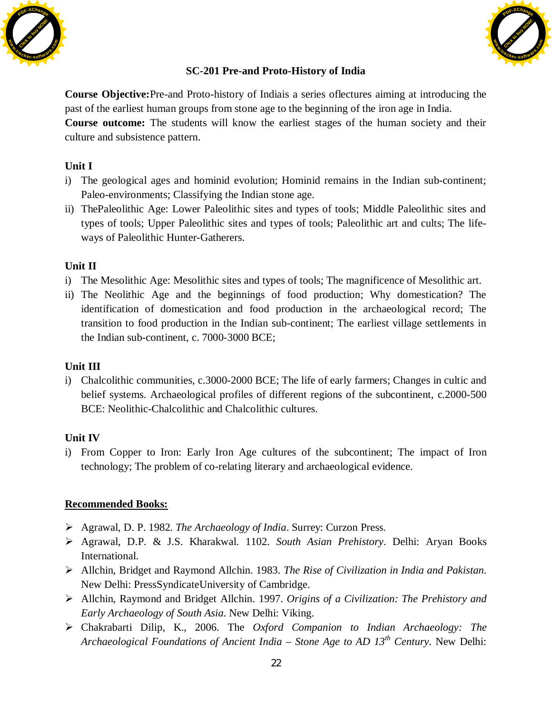



## **SC-201 Pre-and Proto-History of India**

**Course Objective:**Pre-and Proto-history of Indiais a series oflectures aiming at introducing the past of the earliest human groups from stone age to the beginning of the iron age in India. **Course outcome:** The students will know the earliest stages of the human society and their culture and subsistence pattern.

## **Unit I**

- i) The geological ages and hominid evolution; Hominid remains in the Indian sub-continent; Paleo-environments; Classifying the Indian stone age.
- ii) ThePaleolithic Age: Lower Paleolithic sites and types of tools; Middle Paleolithic sites and types of tools; Upper Paleolithic sites and types of tools; Paleolithic art and cults; The lifeways of Paleolithic Hunter-Gatherers.

## **Unit II**

- i) The Mesolithic Age: Mesolithic sites and types of tools; The magnificence of Mesolithic art.
- ii) The Neolithic Age and the beginnings of food production; Why domestication? The identification of domestication and food production in the archaeological record; The transition to food production in the Indian sub-continent; The earliest village settlements in the Indian sub-continent, c. 7000-3000 BCE;

#### **Unit III**

i) Chalcolithic communities, c.3000-2000 BCE; The life of early farmers; Changes in cultic and belief systems. Archaeological profiles of different regions of the subcontinent, c.2000-500 BCE: Neolithic-Chalcolithic and Chalcolithic cultures.

## **Unit IV**

i) From Copper to Iron: Early Iron Age cultures of the subcontinent; The impact of Iron technology; The problem of co-relating literary and archaeological evidence.

- ¾ Agrawal, D. P. 1982. *The Archaeology of India*. Surrey: Curzon Press.
- ¾ Agrawal, D.P. & J.S. Kharakwal. 1102. *South Asian Prehistory*. Delhi: Aryan Books International.
- ¾ Allchin, Bridget and Raymond Allchin. 1983. *The Rise of Civilization in India and Pakistan*. New Delhi: PressSyndicateUniversity of Cambridge.
- ¾ Allchin, Raymond and Bridget Allchin. 1997. *Origins of a Civilization: The Prehistory and Early Archaeology of South Asia*. New Delhi: Viking.
- ¾ Chakrabarti Dilip, K., 2006. The *Oxford Companion to Indian Archaeology: The Archaeological Foundations of Ancient India – Stone Age to AD 13th Century*. New Delhi: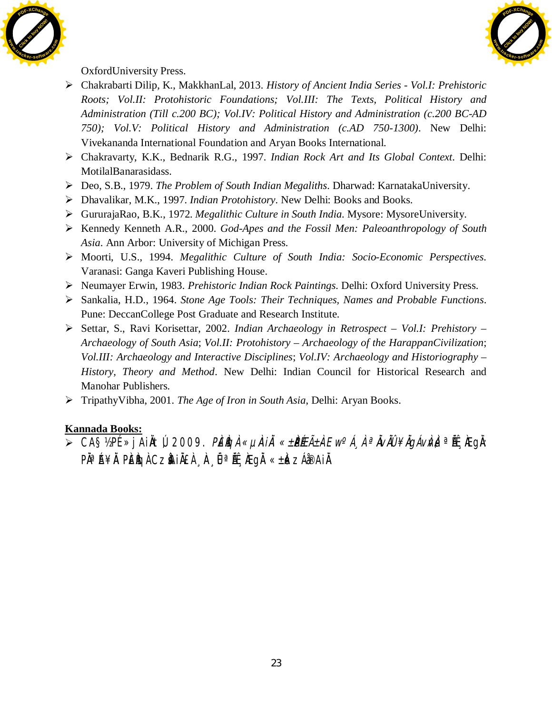



OxfordUniversity Press.

- ¾ Chakrabarti Dilip, K., MakkhanLal, 2013. *History of Ancient India Series Vol.I: Prehistoric Roots; Vol.II: Protohistoric Foundations; Vol.III: The Texts, Political History and Administration (Till c.200 BC); Vol.IV: Political History and Administration (c.200 BC-AD 750); Vol.V: Political History and Administration (c.AD 750-1300)*. New Delhi: Vivekananda International Foundation and Aryan Books International.
- ¾ Chakravarty, K.K., Bednarik R.G., 1997. *Indian Rock Art and Its Global Context*. Delhi: MotilalBanarasidass.
- ¾ Deo, S.B., 1979. *The Problem of South Indian Megaliths*. Dharwad: KarnatakaUniversity.
- ¾ Dhavalikar, M.K., 1997. *Indian Protohistory*. New Delhi: Books and Books.
- ¾ GururajaRao, B.K., 1972. *Megalithic Culture in South India*. Mysore: MysoreUniversity.
- ¾ Kennedy Kenneth A.R., 2000. *God-Apes and the Fossil Men: Paleoanthropology of South Asia*. Ann Arbor: University of Michigan Press.
- ¾ Moorti, U.S., 1994. *Megalithic Culture of South India: Socio-Economic Perspectives*. Varanasi: Ganga Kaveri Publishing House.
- ¾ Neumayer Erwin, 1983. *Prehistoric Indian Rock Paintings*. Delhi: Oxford University Press.
- ¾ Sankalia, H.D., 1964. *Stone Age Tools: Their Techniques, Names and Probable Functions*. Pune: DeccanCollege Post Graduate and Research Institute.
- ¾ Settar, S., Ravi Korisettar, 2002. *Indian Archaeology in Retrospect Vol.I: Prehistory Archaeology of South Asia*; *Vol.II: Protohistory – Archaeology of the HarappanCivilization*; *Vol.III: Archaeology and Interactive Disciplines*; *Vol.IV: Archaeology and Historiography – History, Theory and Method*. New Delhi: Indian Council for Historical Research and Manohar Publishers.
- ¾ TripathyVibha, 2001. *The Age of Iron in South Asia*, Delhi: Aryan Books.

# **Kannada Books:**

≫ CA§½PÉ »jAiÀtÚ, 2009. *PÉÈGÀ «µÀIĂ «±PÉEñÀ Ew°Á¸ À ªĂvĂÛ ¥ĂgÁvÀv*}ªÑÉ, ÆgÀ: P˻Á¥À PÈÈGÀ CZÀHÀ£À ¸À¸ËªÄɸÆgÀ «±À«zÁð¤AiÀ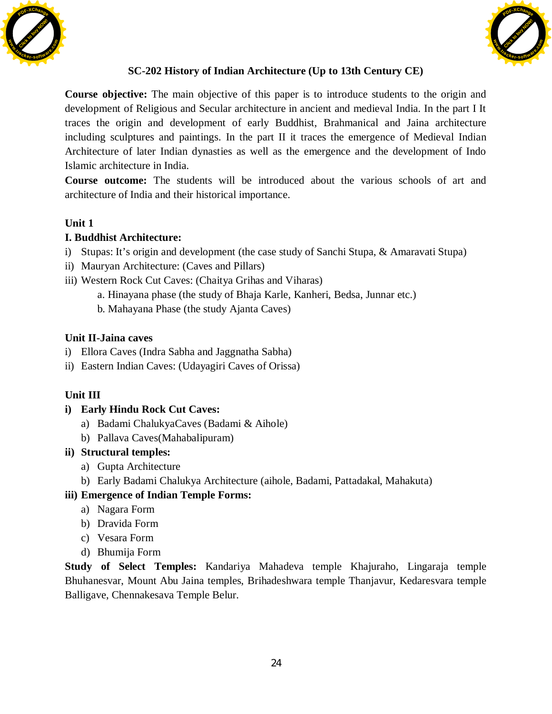



## **SC-202 History of Indian Architecture (Up to 13th Century CE)**

**Course objective:** The main objective of this paper is to introduce students to the origin and development of Religious and Secular architecture in ancient and medieval India. In the part I It traces the origin and development of early Buddhist, Brahmanical and Jaina architecture including sculptures and paintings. In the part II it traces the emergence of Medieval Indian Architecture of later Indian dynasties as well as the emergence and the development of Indo Islamic architecture in India.

**Course outcome:** The students will be introduced about the various schools of art and architecture of India and their historical importance.

## **Unit 1**

## **I. Buddhist Architecture:**

- i) Stupas: It's origin and development (the case study of Sanchi Stupa, & Amaravati Stupa)
- ii) Mauryan Architecture: (Caves and Pillars)
- iii) Western Rock Cut Caves: (Chaitya Grihas and Viharas)
	- a. Hinayana phase (the study of Bhaja Karle, Kanheri, Bedsa, Junnar etc.)
	- b. Mahayana Phase (the study Ajanta Caves)

## **Unit II-Jaina caves**

- i) Ellora Caves (Indra Sabha and Jaggnatha Sabha)
- ii) Eastern Indian Caves: (Udayagiri Caves of Orissa)

## **Unit III**

- **i) Early Hindu Rock Cut Caves:** 
	- a) Badami ChalukyaCaves (Badami & Aihole)
	- b) Pallava Caves(Mahabalipuram)
- **ii) Structural temples:** 
	- a) Gupta Architecture
	- b) Early Badami Chalukya Architecture (aihole, Badami, Pattadakal, Mahakuta)

## **iii) Emergence of Indian Temple Forms:**

- a) Nagara Form
- b) Dravida Form
- c) Vesara Form
- d) Bhumija Form

**Study of Select Temples:** Kandariya Mahadeva temple Khajuraho, Lingaraja temple Bhuhanesvar, Mount Abu Jaina temples, Brihadeshwara temple Thanjavur, Kedaresvara temple Balligave, Chennakesava Temple Belur.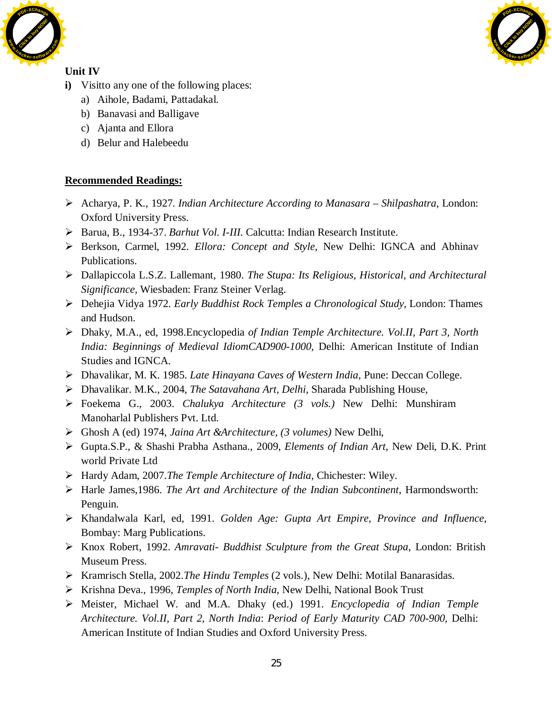



## **Unit IV**

- **i)** Visitto any one of the following places:
	- a) Aihole, Badami, Pattadakal.
	- b) Banavasi and Balligave
	- c) Ajanta and Ellora
	- d) Belur and Halebeedu

## **Recommended Readings:**

- ¾ Acharya, P. K., 1927. *Indian Architecture According to Manasara Shilpashatra*, London: Oxford University Press.
- ¾ Barua, B., 1934-37. *Barhut Vol. I-III*. Calcutta: Indian Research Institute.
- ¾ Berkson, Carmel, 1992. *Ellora: Concept and Style*, New Delhi: IGNCA and Abhinav Publications.
- ¾ Dallapiccola L.S.Z. Lallemant, 1980. *The Stupa: Its Religious, Historical, and Architectural Significance,* Wiesbaden: Franz Steiner Verlag.
- ¾ Dehejia Vidya 1972*. Early Buddhist Rock Temples a Chronological Study,* London: Thames and Hudson.
- ¾ Dhaky, M.A., ed, 1998.Encyclopedia *of Indian Temple Architecture. Vol.II, Part 3, North India: Beginnings of Medieval IdiomCAD900-1000,* Delhi: American Institute of Indian Studies and IGNCA.
- ¾ Dhavalikar, M. K. 1985. *Late Hinayana Caves of Western India*, Pune: Deccan College.
- ¾ Dhavalikar. M.K., 2004, *The Satavahana Art, Delhi,* Sharada Publishing House,
- ¾ Foekema G., 2003. *Chalukya Architecture (3 vols.)* New Delhi: Munshiram Manoharlal Publishers Pvt. Ltd.
- ¾ Ghosh A (ed) 1974, *Jaina Art &Architecture, (3 volumes)* New Delhi,
- ¾ Gupta.S.P., & Shashi Prabha Asthana., 2009, *Elements of Indian Art*, New Deli, D.K. Print world Private Ltd
- ¾ Hardy Adam, 2007.*The Temple Architecture of India*, Chichester: Wiley.
- ¾ Harle James,1986. *The Art and Architecture of the Indian Subcontinent*, Harmondsworth: Penguin.
- ¾ Khandalwala Karl, ed, 1991. *Golden Age: Gupta Art Empire, Province and Influence*, Bombay: Marg Publications.
- ¾ Knox Robert, 1992. *Amravati- Buddhist Sculpture from the Great Stupa*, London: British Museum Press.
- ¾ Kramrisch Stella, 2002.*The Hindu Temples* (2 vols.), New Delhi: Motilal Banarasidas.
- ¾ Krishna Deva., 1996, *Temples of North India*, New Delhi, National Book Trust
- ¾ Meister, Michael W. and M.A. Dhaky (ed.) 1991. *Encyclopedia of Indian Temple Architecture. Vol.II, Part 2, North India*: *Period of Early Maturity CAD 700-900,* Delhi: American Institute of Indian Studies and Oxford University Press.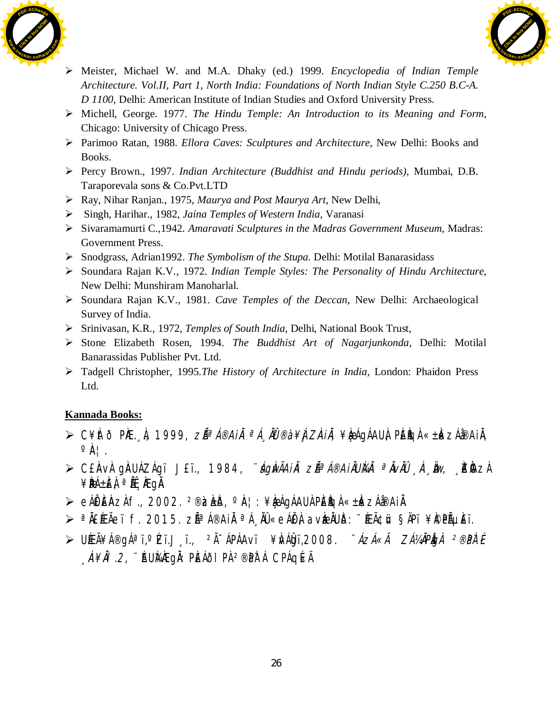



- ¾ Meister, Michael W. and M.A. Dhaky (ed.) 1999. *Encyclopedia of Indian Temple Architecture. Vol.II, Part 1, North India: Foundations of North Indian Style C.250 B.C-A. D 1100,* Delhi: American Institute of Indian Studies and Oxford University Press.
- ¾ Michell, George. 1977. *The Hindu Temple: An Introduction to its Meaning and Form,* Chicago: University of Chicago Press.
- ¾ Parimoo Ratan, 1988. *Ellora Caves: Sculptures and Architecture*, New Delhi: Books and Books.
- ¾ Percy Brown., 1997. *Indian Architecture (Buddhist and Hindu periods),* Mumbai, D.B. Taraporevala sons & Co.Pvt.LTD
- ¾ Ray, Nihar Ranjan., 1975, *Maurya and Post Maurya Art*, New Delhi,
- ¾ Singh, Harihar., 1982, *Jaina Temples of Western India,* Varanasi
- ¾ Sivaramamurti C.,1942*. Amaravati Sculptures in the Madras Government Museum*, Madras: Government Press.
- ¾ Snodgrass, Adrian1992. *The Symbolism of the Stupa.* Delhi: Motilal Banarasidass
- ¾ Soundara Rajan K.V., 1972. *Indian Temple Styles: The Personality of Hindu Architecture,*  New Delhi: Munshiram Manoharlal.
- ¾ Soundara Rajan K.V., 1981. *Cave Temples of the Deccan,* New Delhi: Archaeological Survey of India.
- ¾ Srinivasan, K.R., 1972, *Temples of South India*, Delhi, National Book Trust,
- ¾ Stone Elizabeth Rosen, 1994. *The Buddhist Art of Nagarjunkonda,* Delhi: Motilal Banarassidas Publisher Pvt. Ltd.
- ¾ Tadgell Christopher, 1995.*The History of Architecture in India,* London: Phaidon Press Ltd.

- $\triangleright$  C¥ $\pi$ ð P $E.$  À, 1999,  $Z\tilde{A}^a$ Á®Ai $\tilde{A}$  <sup>a</sup>Á, À $\tilde{B}^a$ è ¥) $Z\tilde{A}$ i, ¥ $\tilde{A}^a$ Gáau), P $\tilde{E}$ k $\tilde{A}^a$ k,  $Z\tilde{A}^a$ Bai $\tilde{A}$ ,  $\circ \mathbb{A}$ |.
- ≫ C£ÀVÀ gÀUÁZÁgï J£ï., 1984, *¨ágÀvÃAiÀ zêÁ®AiÀUÀkÀ ªÀvÀÛ* ¸À¸Àw, ¸kÀzÀ  $\angle$ **PÁ**±ÈÀ <sup>a</sup> Át MegÀ.
- $\triangleright$  eÁËĒÀZÀ f., 2002. <sup>2®</sup>ìzèð, °À¦: ¥ÀæqÁAUÀ PÈÈGÀ «±Àk zÁå®AIÀ.
- ≫ ªĂ£ÆÃeï f. 2015. zÁªÁ®AIÀ ªÁ¸ÀŨ«eÁË) avÀæÀUð: ¨ÆÃ¢i¤ §ÄPï ¥Ì©PõÈï.
- ≫ UÆÃ¥Á®gÁªï,°Zï.J¸ï., <sup>2</sup>Ã<sup>−</sup>ÁPÁAvï ¥ŴÁ₿ï,2008. ¨*ÁzÁ«Ä ZÁ¼ÄPÌgi <sup>2®</sup>PÌ*⊺É  $\hat{A}$ # $\hat{A}$ l.2, ``AU $\hat{A}$ AEgå: PÈÁði pà <sup>2®</sup>pàtá CPÁqé«Ä.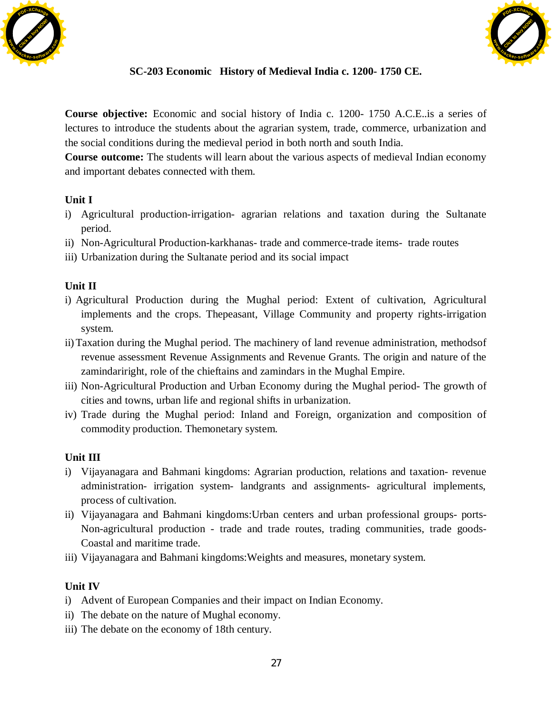



## **SC-203 Economic History of Medieval India c. 1200- 1750 CE.**

**Course objective:** Economic and social history of India c. 1200- 1750 A.C.E..is a series of lectures to introduce the students about the agrarian system, trade, commerce, urbanization and the social conditions during the medieval period in both north and south India.

**Course outcome:** The students will learn about the various aspects of medieval Indian economy and important debates connected with them.

## **Unit I**

- i) Agricultural production-irrigation- agrarian relations and taxation during the Sultanate period.
- ii) Non-Agricultural Production-karkhanas- trade and commerce-trade items- trade routes
- iii) Urbanization during the Sultanate period and its social impact

## **Unit II**

- i) Agricultural Production during the Mughal period: Extent of cultivation, Agricultural implements and the crops. Thepeasant, Village Community and property rights-irrigation system.
- ii)Taxation during the Mughal period. The machinery of land revenue administration, methodsof revenue assessment Revenue Assignments and Revenue Grants. The origin and nature of the zamindariright, role of the chieftains and zamindars in the Mughal Empire.
- iii) Non-Agricultural Production and Urban Economy during the Mughal period- The growth of cities and towns, urban life and regional shifts in urbanization.
- iv) Trade during the Mughal period: Inland and Foreign, organization and composition of commodity production. Themonetary system.

## **Unit III**

- i) Vijayanagara and Bahmani kingdoms: Agrarian production, relations and taxation- revenue administration- irrigation system- landgrants and assignments- agricultural implements, process of cultivation.
- ii) Vijayanagara and Bahmani kingdoms:Urban centers and urban professional groups- ports-Non-agricultural production - trade and trade routes, trading communities, trade goods-Coastal and maritime trade.
- iii) Vijayanagara and Bahmani kingdoms:Weights and measures, monetary system.

## **Unit IV**

- i) Advent of European Companies and their impact on Indian Economy.
- ii) The debate on the nature of Mughal economy.
- iii) The debate on the economy of 18th century.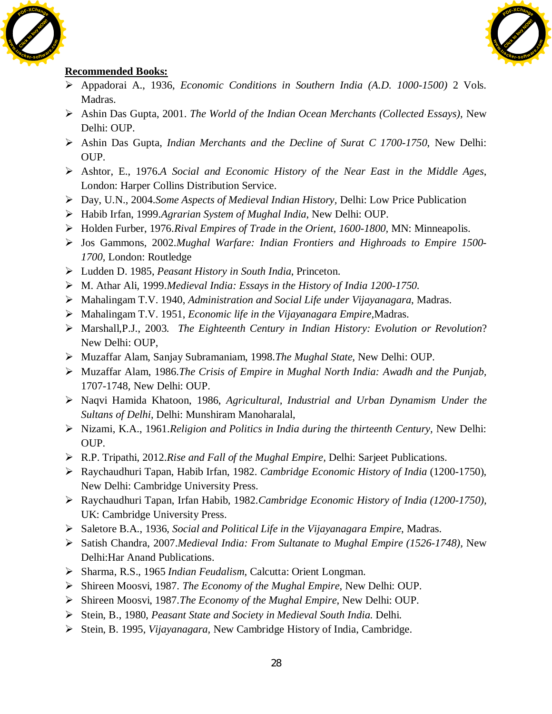



- ¾ Appadorai A., 1936, *Economic Conditions in Southern India (A.D. 1000-1500)* 2 Vols. Madras.
- ¾ Ashin Das Gupta, 2001. *The World of the Indian Ocean Merchants (Collected Essays),* New Delhi: OUP.
- ¾ Ashin Das Gupta, *Indian Merchants and the Decline of Surat C 1700-1750*, New Delhi: OUP.
- ¾ Ashtor, E., 1976.*A Social and Economic History of the Near East in the Middle Ages*, London: Harper Collins Distribution Service.
- ¾ Day, U.N., 2004.*Some Aspects of Medieval Indian History,* Delhi: Low Price Publication
- ¾ Habib Irfan, 1999.*Agrarian System of Mughal India*, New Delhi: OUP.
- ¾ Holden Furber, 1976.*Rival Empires of Trade in the Orient, 1600-1800,* MN: Minneapolis.
- ¾ Jos Gammons, 2002.*Mughal Warfare: Indian Frontiers and Highroads to Empire 1500- 1700,* London: Routledge
- ¾ Ludden D. 1985, *Peasant History in South India*, Princeton.
- ¾ M. Athar Ali, 1999.*Medieval India: Essays in the History of India 1200-1750.*
- ¾ Mahalingam T.V. 1940, *Administration and Social Life under Vijayanagara*, Madras.
- ¾ Mahalingam T.V. 1951, *Economic life in the Vijayanagara Empire,*Madras.
- ¾ Marshall,P.J., 2003. *The Eighteenth Century in Indian History: Evolution or Revolution*? New Delhi: OUP,
- ¾ Muzaffar Alam, Sanjay Subramaniam, 1998.*The Mughal State,* New Delhi: OUP.
- ¾ Muzaffar Alam, 1986.*The Crisis of Empire in Mughal North India: Awadh and the Punjab,*  1707-1748, New Delhi: OUP.
- ¾ Naqvi Hamida Khatoon, 1986, *Agricultural, Industrial and Urban Dynamism Under the Sultans of Delhi*, Delhi: Munshiram Manoharalal,
- ¾ Nizami, K.A., 1961.*Religion and Politics in India during the thirteenth Century,* New Delhi: OUP.
- ¾ R.P. Tripathi, 2012.*Rise and Fall of the Mughal Empire,* Delhi: Sarjeet Publications.
- ¾ Raychaudhuri Tapan, Habib Irfan, 1982. *Cambridge Economic History of India* (1200-1750), New Delhi: Cambridge University Press.
- ¾ Raychaudhuri Tapan, Irfan Habib, 1982.*Cambridge Economic History of India (1200-1750),* UK: Cambridge University Press.
- ¾ Saletore B.A., 1936, *Social and Political Life in the Vijayanagara Empire*, Madras.
- ¾ Satish Chandra, 2007.*Medieval India: From Sultanate to Mughal Empire (1526-1748),* New Delhi:Har Anand Publications.
- ¾ Sharma, R.S., 1965 *Indian Feudalism*, Calcutta: Orient Longman.
- ¾ Shireen Moosvi, 1987. *The Economy of the Mughal Empire*, New Delhi: OUP.
- ¾ Shireen Moosvi, 1987.*The Economy of the Mughal Empire*, New Delhi: OUP.
- ¾ Stein, B., 1980, *Peasant State and Society in Medieval South India*. Delhi.
- ¾ Stein, B. 1995, *Vijayanagara,* New Cambridge History of India, Cambridge.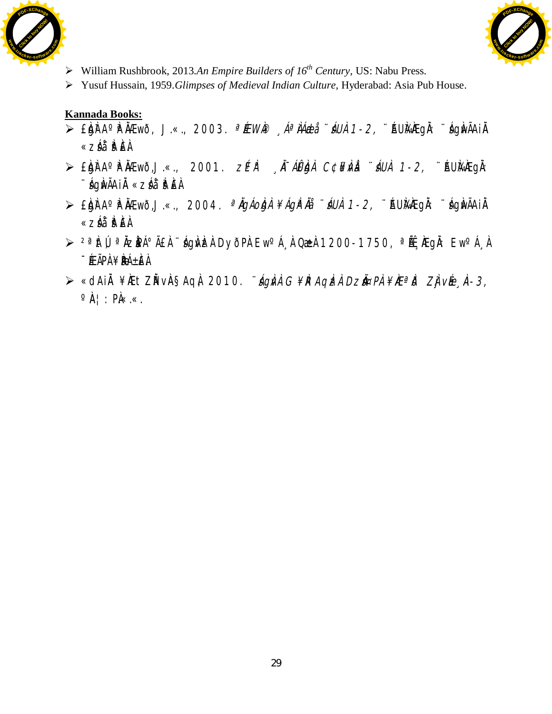



- ¾ William Rushbrook, 2013.*An Empire Builders of 16th Century,* US: Nabu Press.
- ¾ Yusuf Hussain, 1959.*Glimpses of Medieval Indian Culture,* Hyderabad: Asia Pub House.

- $\triangleright$  £bir A° Fina Amo, J.«., 2003. <sup>a</sup> ÉEWA® *Aª LA Abi \* AUA 1-2,* ``AUMA EQI: ``AghvÃAi À «záå¨è ÈÀ
- $\triangleright$  £bin A° in  $\lambda$ Ewõ, J.«., 2001.  $Z$ P  $\lambda$ <sup>T</sup> *Al£bin C¢¥Nà* úáUÀ 1-2, ¨AUk¥EgÀ: ¨sÁgÀwÃAiÀÄ «zsÁå¨sÀªÀ£À.
- $\triangleright$  £bh A° Fham $\triangle$ , J.«., 2004. <sup>a</sup>ngáoba ¥ágřná úna 1-2, ¨AUhanegh: ¨nghvÃAin «záå¨è ÈÀ
- > <sup>2ª</sup> ht Ú<sup>a</sup> Àz PÁ°Ã£ À ¨ ág N zh DyðPh Ew<sup>o</sup>Á À Qæ 1200-1750, <sup>ª</sup> Áf AEg À: Ew<sup>o</sup>Á À  $-$ Éæãpà $+$ æ $+$
- > «dAiÀ ¥ÆtZĂ vÀ§AqÀ, 2010. *∵ÁgÀnÀ G¥RAqÌzh Dzi¤PÀ¥ÆªĬð ZjìvÉe À-3*,  $\circ \mathbb{A}$  : PA«.«.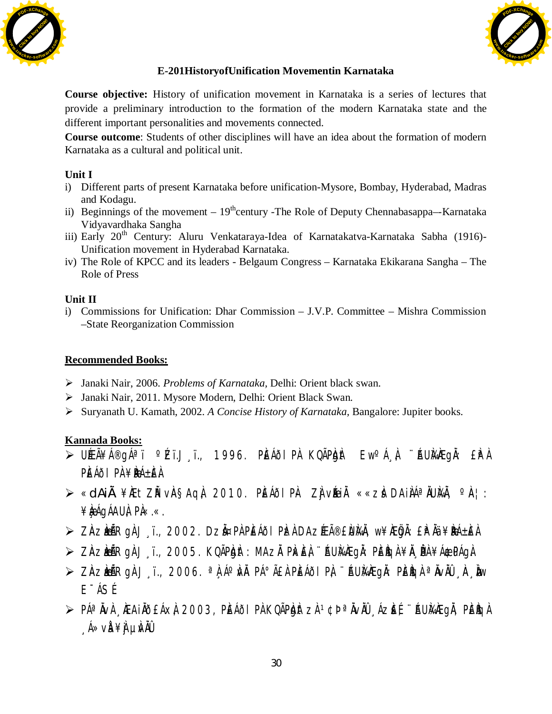



## **E-201HistoryofUnification Movementin Karnataka**

**Course objective:** History of unification movement in Karnataka is a series of lectures that provide a preliminary introduction to the formation of the modern Karnataka state and the different important personalities and movements connected.

**Course outcome**: Students of other disciplines will have an idea about the formation of modern Karnataka as a cultural and political unit.

## **Unit I**

- i) Different parts of present Karnataka before unification-Mysore, Bombay, Hyderabad, Madras and Kodagu.
- ii) Beginnings of the movement  $19<sup>th</sup>$ century -The Role of Deputy Chennabasappa–-Karnataka Vidyavardhaka Sangha
- iii) Early 20<sup>th</sup> Century: Aluru Venkataraya-Idea of Karnatakatva-Karnataka Sabha (1916)-Unification movement in Hyderabad Karnataka.
- iv) The Role of KPCC and its leaders Belgaum Congress Karnataka Ekikarana Sangha The Role of Press

#### **Unit II**

i) Commissions for Unification: Dhar Commission – J.V.P. Committee – Mishra Commission –State Reorganization Commission

## **Recommended Books:**

- ¾ Janaki Nair, 2006. *Problems of Karnataka,* Delhi: Orient black swan.
- ¾ Janaki Nair, 2011. Mysore Modern, Delhi: Orient Black Swan.
- ¾ Suryanath U. Kamath, 2002. *A Concise History of Karnataka,* Bangalore: Jupiter books.

- ≫ UÉEÃ¥Á®gÁªï °ÉZï.Jູï., 1996. PÈÁðIPÀ KQÃPÀgÀt Ew°Á¸À, ¨ÁUÀ¼ÆgÀ: £ÀPÀ  $P$ if áði $P$ À $\neq$ iðá $+$ if Á
- ⊁ «dAiÀ¥ÀÆtZĂ vÀ§AqÀ 2010. PÈÁðIPÀ- ZÀjvÉæÀ ««zà DAiÀÁªÄUÀ¼Ä, ºÀ¦:  $\angle$ **k** $\angle$ **A**qÁAU $\angle$ , P $\angle$ , «.
- $\triangleright$  Zàz $\mathbf{m}$ Ā $\mathbf{R}$ gà J $\cdot$ ï., 2002. Dz $\mathbf{\tilde{a}}$ ¤Pà Pèáðl P $\mathbf{\tilde{z}}$ à Daz Æã®£ $\mathbf{\tilde{a}}$ à, w¥ $\mathbf{\tilde{e}}$ ā $\mathbf{\tilde{a}}$ . £P $\mathbf{\tilde{a}}$ à ¥ $\mathbf{\tilde{e}}$
- ≫ ZÀZÀÃERGÀ J ï., 2005. KQÃPÀD Àt: MAZÀ PÀKÈÀ ¨ÁUÀ¼ ÆGÀ: PÈÈGÀ¥À, PÀ¥Á&£PÁGÀ.
- $\triangleright$  Zàzbià $R$ gà J i., 2006.  $^{\circ}$ à Á $^{\circ}$ và Pá $^{\circ}$ ãà Pèáðl Pà $^{\circ}$  "Áuì⁄àÆgà: Pèègà  $^{\circ}$ àvàû ¸À, Ìow E¯ÁSÉ.
- $\triangleright$  PÁª ÀvÀ , ÆAIÀÕEÁX À, 2003, PÈÁÕI PÀ KQÃP ÀIT zÀ 1¢Þ ªÀVÀÛ , ÁZ EÉ, ¨ÁU ÀÆGÀ, PÈÀG À  $\hat{A} \gg \vee \hat{B} \not\cong \hat{A}$   $\cup$   $\hat{A} \times \hat{A}$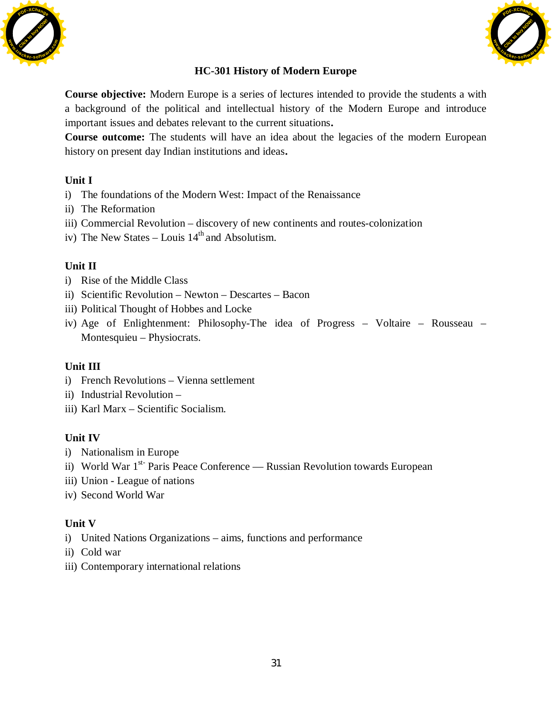



## **HC-301 History of Modern Europe**

**Course objective:** Modern Europe is a series of lectures intended to provide the students a with a background of the political and intellectual history of the Modern Europe and introduce important issues and debates relevant to the current situations**.** 

**Course outcome:** The students will have an idea about the legacies of the modern European history on present day Indian institutions and ideas**.** 

## **Unit I**

- i) The foundations of the Modern West: Impact of the Renaissance
- ii) The Reformation
- iii) Commercial Revolution discovery of new continents and routes-colonization
- iv) The New States Louis  $14<sup>th</sup>$  and Absolutism.

## **Unit II**

- i) Rise of the Middle Class
- ii) Scientific Revolution Newton Descartes Bacon
- iii) Political Thought of Hobbes and Locke
- iv) Age of Enlightenment: Philosophy-The idea of Progress Voltaire Rousseau Montesquieu – Physiocrats.

#### **Unit III**

- i) French Revolutions Vienna settlement
- ii) Industrial Revolution –
- iii) Karl Marx Scientific Socialism.

#### **Unit IV**

- i) Nationalism in Europe
- ii) World War  $1<sup>st-</sup>$  Paris Peace Conference Russian Revolution towards European
- iii) Union League of nations
- iv) Second World War

#### **Unit V**

- i) United Nations Organizations aims, functions and performance
- ii) Cold war
- iii) Contemporary international relations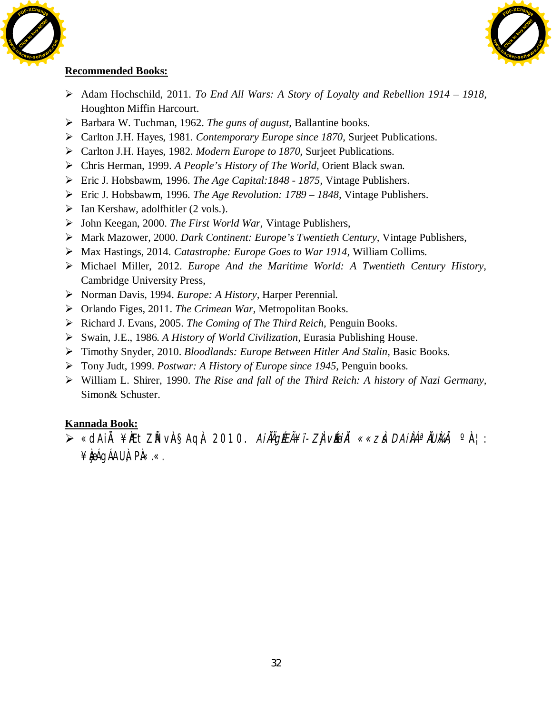



### **Recommended Books:**

- ¾ Adam Hochschild, 2011. *To End All Wars: A Story of Loyalty and Rebellion 1914 1918,* Houghton Miffin Harcourt.
- ¾ Barbara W. Tuchman, 1962. *The guns of august,* Ballantine books.
- ¾ Carlton J.H. Hayes, 1981. *Contemporary Europe since 1870,* Surjeet Publications.
- ¾ Carlton J.H. Hayes, 1982. *Modern Europe to 1870,* Surjeet Publications.
- ¾ Chris Herman, 1999. *A People's History of The World,* Orient Black swan.
- ¾ Eric J. Hobsbawm, 1996. *The Age Capital:1848 1875,* Vintage Publishers.
- ¾ Eric J. Hobsbawm, 1996. *The Age Revolution: 1789 1848,* Vintage Publishers.
- $\triangleright$  Ian Kershaw, adolf hitler (2 vols.).
- ¾ John Keegan, 2000. *The First World War,* Vintage Publishers,
- ¾ Mark Mazower, 2000. *Dark Continent: Europe's Twentieth Century,* Vintage Publishers,
- ¾ Max Hastings, 2014. *Catastrophe: Europe Goes to War 1914,* William Collims.
- ¾ Michael Miller, 2012. *Europe And the Maritime World: A Twentieth Century History,* Cambridge University Press,
- ¾ Norman Davis, 1994. *Europe: A History,* Harper Perennial.
- ¾ Orlando Figes, 2011. *The Crimean War,* Metropolitan Books.
- ¾ Richard J. Evans, 2005. *The Coming of The Third Reich,* Penguin Books.
- ¾ Swain, J.E., 1986. *A History of World Civilization,* Eurasia Publishing House.
- ¾ Timothy Snyder, 2010. *Bloodlands: Europe Between Hitler And Stalin,* Basic Books.
- ¾ Tony Judt, 1999. *Postwar: A History of Europe since 1945,* Penguin books.
- ¾ William L. Shirer, 1990. *The Rise and fall of the Third Reich: A history of Nazi Germany,* Simon& Schuster.

## **Kannada Book:**

> «dAiÀ¥ÆtZĬVÀ§AqÌ, 2010. *Ai ĂÄgÉEÃ¥ï-ZÌ vĚæÀi ««zi dAi ÀÁª ÀUÀ¼*À, º À¦: ¥bágÁAUÀ, PÀ«.«.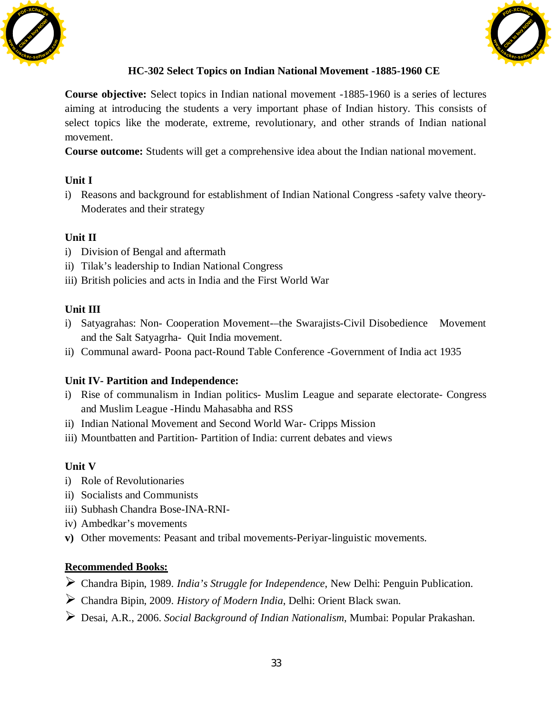



## **HC-302 Select Topics on Indian National Movement -1885-1960 CE**

**Course objective:** Select topics in Indian national movement -1885-1960 is a series of lectures aiming at introducing the students a very important phase of Indian history. This consists of select topics like the moderate, extreme, revolutionary, and other strands of Indian national movement.

**Course outcome:** Students will get a comprehensive idea about the Indian national movement.

## **Unit I**

i) Reasons and background for establishment of Indian National Congress -safety valve theory-Moderates and their strategy

## **Unit II**

- i) Division of Bengal and aftermath
- ii) Tilak's leadership to Indian National Congress
- iii) British policies and acts in India and the First World War

## **Unit III**

- i) Satyagrahas: Non- Cooperation Movement-–the Swarajists-Civil Disobedience Movement and the Salt Satyagrha- Quit India movement.
- ii) Communal award- Poona pact-Round Table Conference -Government of India act 1935

## **Unit IV- Partition and Independence:**

- i) Rise of communalism in Indian politics- Muslim League and separate electorate- Congress and Muslim League -Hindu Mahasabha and RSS
- ii) Indian National Movement and Second World War- Cripps Mission
- iii) Mountbatten and Partition- Partition of India: current debates and views

# **Unit V**

- i) Role of Revolutionaries
- ii) Socialists and Communists
- iii) Subhash Chandra Bose-INA-RNI-
- iv) Ambedkar's movements
- **v)** Other movements: Peasant and tribal movements-Periyar-linguistic movements.

- ¾ Chandra Bipin, 1989. *India's Struggle for Independence*, New Delhi: Penguin Publication.
- ¾ Chandra Bipin, 2009. *History of Modern India*, Delhi: Orient Black swan.
- ¾ Desai, A.R., 2006. *Social Background of Indian Nationalism*, Mumbai: Popular Prakashan.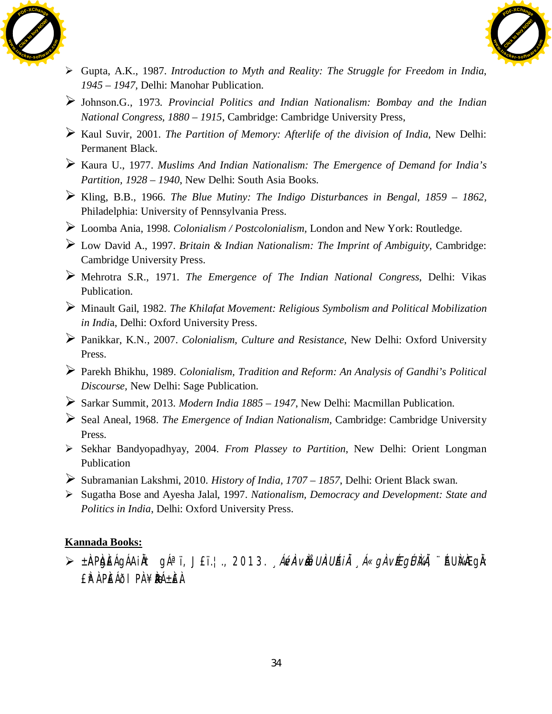



- ¾ Gupta, A.K., 1987. *Introduction to Myth and Reality: The Struggle for Freedom in India*, *1945 – 1947,* Delhi: Manohar Publication.
- ¾ Johnson.G., 1973. *Provincial Politics and Indian Nationalism: Bombay and the Indian National Congress, 1880 – 1915*, Cambridge: Cambridge University Press,
- ¾ Kaul Suvir, 2001. *The Partition of Memory: Afterlife of the division of India*, New Delhi: Permanent Black.
- ¾ Kaura U., 1977. *Muslims And Indian Nationalism: The Emergence of Demand for India's Partition, 1928 – 1940*, New Delhi: South Asia Books.
- ¾ Kling, B.B., 1966. *The Blue Mutiny: The Indigo Disturbances in Bengal, 1859 1862,* Philadelphia: University of Pennsylvania Press.
- ¾ Loomba Ania, 1998. *Colonialism / Postcolonialism,* London and New York: Routledge.
- ¾ Low David A., 1997. *Britain & Indian Nationalism: The Imprint of Ambiguity*, Cambridge: Cambridge University Press.
- ¾ Mehrotra S.R., 1971. *The Emergence of The Indian National Congress*, Delhi: Vikas Publication.
- ¾ Minault Gail, 1982. *The Khilafat Movement: Religious Symbolism and Political Mobilization in Indi*a, Delhi: Oxford University Press.
- ¾ Panikkar, K.N., 2007. *Colonialism, Culture and Resistance*, New Delhi: Oxford University Press.
- ¾ Parekh Bhikhu, 1989. *Colonialism, Tradition and Reform: An Analysis of Gandhi's Political Discourse,* New Delhi: Sage Publication.
- ¾ Sarkar Summit, 2013. *Modern India 1885 1947*, New Delhi: Macmillan Publication.
- ¾ Seal Aneal, 1968. *The Emergence of Indian Nationalism,* Cambridge: Cambridge University Press.
- ¾ Sekhar Bandyopadhyay, 2004. *From Plassey to Partition*, New Delhi: Orient Longman Publication
- ¾ Subramanian Lakshmi, 2010. *History of India, 1707 1857*, Delhi: Orient Black swan.
- ¾ Sugatha Bose and Ayesha Jalal, 1997. *Nationalism, Democracy and Development: State and Politics in India*, Delhi: Oxford University Press.

> ±ÀAPÀJÈÁGÁAIÀT gÁªï, J£ï.¦., 2013. *ÁÚA vÀæUÀA UÁIÀ Á«gÀ vÉEgÚ}4À,* ¨AU}4}EgÀ: £ÀªÀ PÀ£ÁðlPÀ ¥ÀæPÁ±À£À.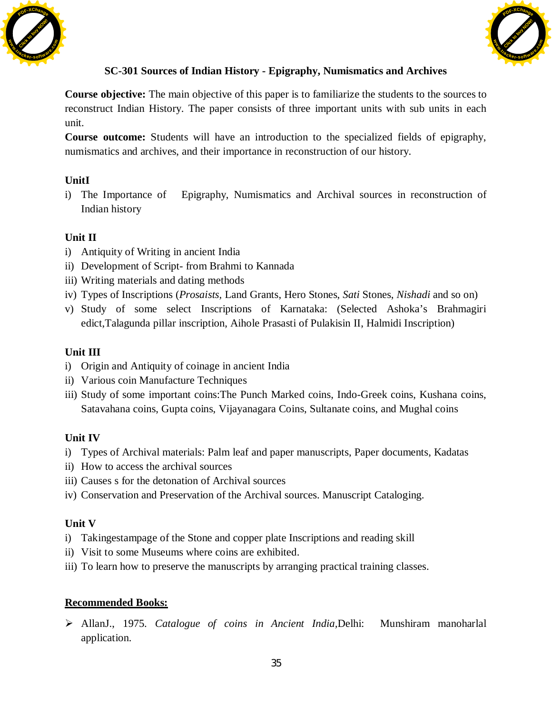



## **SC-301 Sources of Indian History - Epigraphy, Numismatics and Archives**

**Course objective:** The main objective of this paper is to familiarize the students to the sources to reconstruct Indian History. The paper consists of three important units with sub units in each unit.

**Course outcome:** Students will have an introduction to the specialized fields of epigraphy, numismatics and archives, and their importance in reconstruction of our history.

## **UnitI**

i) The Importance of Epigraphy, Numismatics and Archival sources in reconstruction of Indian history

## **Unit II**

- i) Antiquity of Writing in ancient India
- ii) Development of Script- from Brahmi to Kannada
- iii) Writing materials and dating methods
- iv) Types of Inscriptions (*Prosaists,* Land Grants, Hero Stones, *Sati* Stones, *Nishadi* and so on)
- v) Study of some select Inscriptions of Karnataka: (Selected Ashoka's Brahmagiri edict,Talagunda pillar inscription, Aihole Prasasti of Pulakisin II, Halmidi Inscription)

## **Unit III**

- i) Origin and Antiquity of coinage in ancient India
- ii) Various coin Manufacture Techniques
- iii) Study of some important coins:The Punch Marked coins, Indo-Greek coins, Kushana coins, Satavahana coins, Gupta coins, Vijayanagara Coins, Sultanate coins, and Mughal coins

## **Unit IV**

- i) Types of Archival materials: Palm leaf and paper manuscripts, Paper documents, Kadatas
- ii) How to access the archival sources
- iii) Causes s for the detonation of Archival sources
- iv) Conservation and Preservation of the Archival sources. Manuscript Cataloging.

## **Unit V**

- i) Takingestampage of the Stone and copper plate Inscriptions and reading skill
- ii) Visit to some Museums where coins are exhibited.
- iii) To learn how to preserve the manuscripts by arranging practical training classes.

## **Recommended Books:**

¾ AllanJ., 1975. *Catalogue of coins in Ancient India,*Delhi: Munshiram manoharlal application.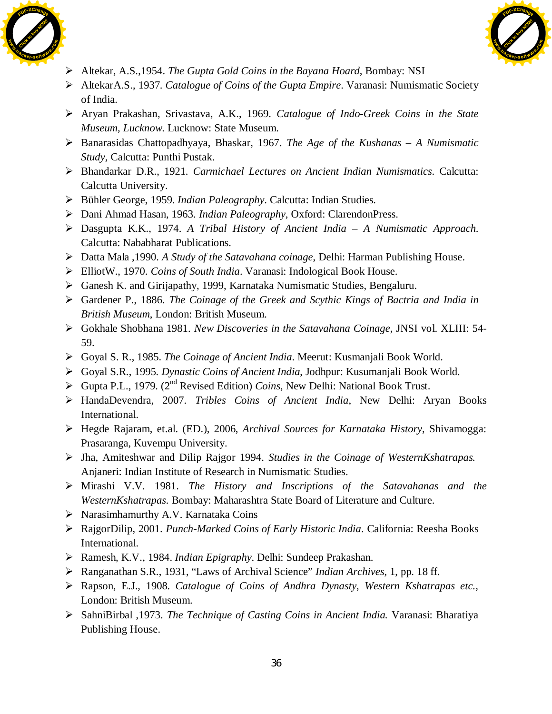



- ¾ Altekar, A.S.,1954. *The Gupta Gold Coins in the Bayana Hoard*, Bombay: NSI
- ¾ AltekarA.S., 1937. *Catalogue of Coins of the Gupta Empire*. Varanasi: Numismatic Society of India.
- ¾ Aryan Prakashan, Srivastava, A.K., 1969. *Catalogue of Indo-Greek Coins in the State Museum, Lucknow*. Lucknow: State Museum.
- ¾ Banarasidas Chattopadhyaya, Bhaskar, 1967. *The Age of the Kushanas A Numismatic Study,* Calcutta: Punthi Pustak.
- ¾ Bhandarkar D.R., 1921. *Carmichael Lectures on Ancient Indian Numismatics*. Calcutta: Calcutta University.
- ¾ Bühler George, 1959. *Indian Paleography*. Calcutta: Indian Studies.
- ¾ Dani Ahmad Hasan, 1963. *Indian Paleography*, Oxford: ClarendonPress.
- ¾ Dasgupta K.K., 1974. *A Tribal History of Ancient India A Numismatic Approach*. Calcutta: Nababharat Publications.
- ¾ Datta Mala ,1990. *A Study of the Satavahana coinage*, Delhi: Harman Publishing House.
- ¾ ElliotW., 1970. *Coins of South India*. Varanasi: Indological Book House.
- ¾ Ganesh K. and Girijapathy, 1999, Karnataka Numismatic Studies, Bengaluru.
- ¾ Gardener P., 1886. *The Coinage of the Greek and Scythic Kings of Bactria and India in British Museum*, London: British Museum.
- ¾ Gokhale Shobhana 1981. *New Discoveries in the Satavahana Coinage*, JNSI vol. XLIII: 54- 59.
- ¾ Goyal S. R., 1985. *The Coinage of Ancient India*. Meerut: Kusmanjali Book World.
- ¾ Goyal S.R., 1995. *Dynastic Coins of Ancient India*, Jodhpur: Kusumanjali Book World.
- $\triangleright$  Gupta P.L., 1979. (2<sup>nd</sup> Revised Edition) *Coins*, New Delhi: National Book Trust.
- ¾ HandaDevendra, 2007. *Tribles Coins of Ancient India*, New Delhi: Aryan Books International.
- ¾ Hegde Rajaram, et.al. (ED.), 2006, *Archival Sources for Karnataka History*, Shivamogga: Prasaranga, Kuvempu University.
- ¾ Jha, Amiteshwar and Dilip Rajgor 1994. *Studies in the Coinage of WesternKshatrapas.*  Anjaneri: Indian Institute of Research in Numismatic Studies.
- ¾ Mirashi V.V. 1981. *The History and Inscriptions of the Satavahanas and the WesternKshatrapas.* Bombay: Maharashtra State Board of Literature and Culture.
- $\triangleright$  Narasimhamurthy A.V. Karnataka Coins
- ¾ RajgorDilip, 2001. *Punch-Marked Coins of Early Historic India*. California: Reesha Books International.
- ¾ Ramesh, K.V., 1984. *Indian Epigraphy*. Delhi: Sundeep Prakashan.
- ¾ Ranganathan S.R., 1931, "Laws of Archival Science" *Indian Archives*, 1, pp. 18 ff.
- ¾ Rapson, E.J., 1908. *Catalogue of Coins of Andhra Dynasty*, *Western Kshatrapas etc.,* London: British Museum.
- ¾ SahniBirbal ,1973. *The Technique of Casting Coins in Ancient India.* Varanasi: Bharatiya Publishing House.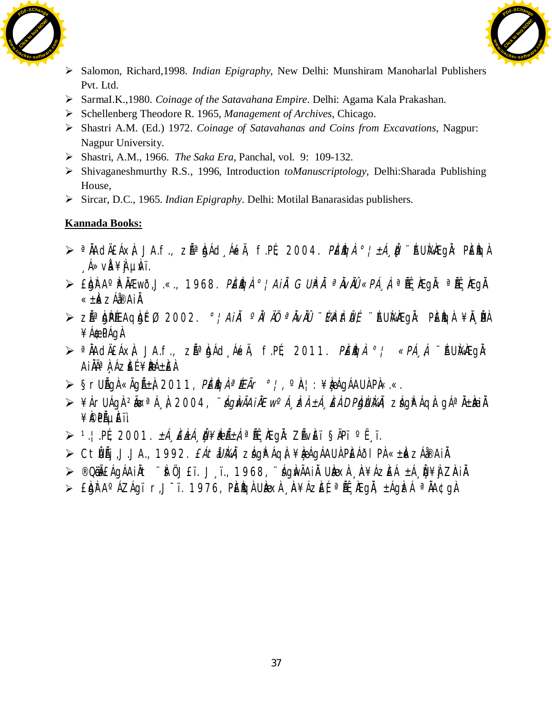



- ¾ Salomon, Richard,1998. *Indian Epigraphy*, New Delhi: Munshiram Manoharlal Publishers Pvt. Ltd.
- ¾ SarmaI.K.,1980. *Coinage of the Satavahana Empire*. Delhi: Agama Kala Prakashan.
- ¾ Schellenberg Theodore R. 1965, *Management of Archives*, Chicago.
- ¾ Shastri A.M. (Ed.) 1972. *Coinage of Satavahanas and Coins from Excavations*, Nagpur: Nagpur University.
- ¾ Shastri, A.M., 1966. *The Saka Era*, Panchal, vol. 9: 109-132.
- ¾ Shivaganeshmurthy R.S., 1996, Introduction *toManuscriptology,* Delhi:Sharada Publishing House,
- ¾ Sircar, D.C., 1965. *Indian Epigraphy*. Delhi: Motilal Banarasidas publishers.

- ¾ ª ÀÄAdÄ£Áx À, JA.f., z Éê ÀgÁd¸Áé«Ä, f.PÉ., 2004. PÀ£ÀßqÀ °¦±Á¸ÀÛç, ¨ÉAUÀ¼ÀÆgÀÄ: PÀ£Àßq À  $A \gg \lor A \not\equiv A \quad \text{Likii}$
- $\triangleright$  £bhra°h ÀÆwð,J.«., 1968. *PÈÌgì °¦Aiì GUÌPì ªÌvìù «PÁ¸ì* ªË.Ægì: ªË.Ægì «± Àé«zÁå®Ai ÀÄ.
- ≥ zếª àpé£AqàéfØ, 2002. *°¦AiÀ, °ÀI ÄÖ, ªÀvÀÜ ¨làphtiu*{ ¨éu}ÀÆgÀ: PèègÀ ¥À **p**À ¥Á®dPÁgÀ
- $\triangleright$  <sup>a</sup> $\Lambda$ AdģÁx $\downarrow$  JA.f., zÁª $\Lambda$ ád, ÁékÄ, f.PÉ, 2011. *PÈÌgÀ °¦ «PÁ À*, ¨AUÀ¼Eg $\Lambda$ : AIÄĪÀ ÁZÈÉ ¥**BÁ±È**À
- $\triangleright$  §rUÄGÀ «ÃGñÀ 2011, *PÉÌGÀ ª ÉÉÃr* º ¦, ºÀ¦: ¥ÌæÁGÁAUÀ PÀ«.«.
- ⊁¥ÁrUÁgÀ <sup>2</sup>ĂœªÁ¸À, 2004, *∵ÁgÌwÃA iÀEw<sup>o</sup>Á¸ ÌzÀ ±Á¸ÈÀ DPÌgÙl¼À*, zÁg̪ÁqÀ gÁª À±Ì<del>ki</del>À ¥Ì©PẾµÈïì
- $\triangleright$  <sup>1</sup>.¦.pé, 2001. *±Á ĚLLÁ Ì¥BLĨ±À* ªË. KEGÄ: ZÃVÈï ŞÄPï °Ë ï.
- ≥ CtŴÃj,J.JA., 1992. *£ÁtåUÀkÀ*, zágÀªÁqà ¥ÀæÁgÁAU À PÀÉÁðl PÀ «± Àk zÁå®AiÀ.
- ≫ ®Qëã£ÁqÁAiÀt ¨à ÖJ£ï. J¸ï., 1968, ¨áqàvÃAiÀ UÀækÀ ¸À¥ÁzÈÁ ±Á Ù¥À ZÀIÀ.
- > £ÀgÀn A°ÁZÁgï r,J<sup>-</sup>ï. 1976, PÈÀgÀ UÀÐEXÀ , ÀN¥ÁZÈÉ, ª ÁL, ÆgÀ, ±ÁgÌZÁ ªÀÄQ¢gÀ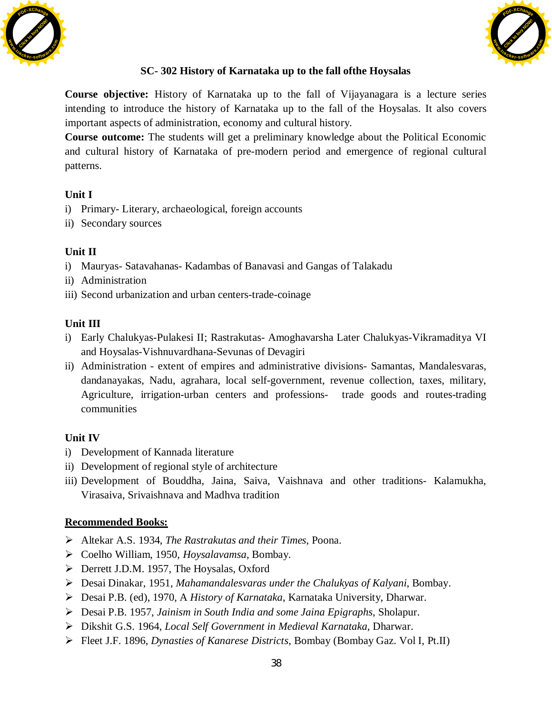



## **SC- 302 History of Karnataka up to the fall ofthe Hoysalas**

**Course objective:** History of Karnataka up to the fall of Vijayanagara is a lecture series intending to introduce the history of Karnataka up to the fall of the Hoysalas. It also covers important aspects of administration, economy and cultural history.

**Course outcome:** The students will get a preliminary knowledge about the Political Economic and cultural history of Karnataka of pre-modern period and emergence of regional cultural patterns.

## **Unit I**

- i) Primary- Literary, archaeological, foreign accounts
- ii) Secondary sources

## **Unit II**

- i) Mauryas- Satavahanas- Kadambas of Banavasi and Gangas of Talakadu
- ii) Administration
- iii) Second urbanization and urban centers-trade-coinage

## **Unit III**

- i) Early Chalukyas-Pulakesi II; Rastrakutas- Amoghavarsha Later Chalukyas-Vikramaditya VI and Hoysalas-Vishnuvardhana-Sevunas of Devagiri
- ii) Administration extent of empires and administrative divisions- Samantas, Mandalesvaras, dandanayakas, Nadu, agrahara, local self-government, revenue collection, taxes, military, Agriculture, irrigation-urban centers and professions- trade goods and routes-trading communities

## **Unit IV**

- i) Development of Kannada literature
- ii) Development of regional style of architecture
- iii) Development of Bouddha, Jaina, Saiva, Vaishnava and other traditions- Kalamukha, Virasaiva, Srivaishnava and Madhva tradition

- ¾ Altekar A.S. 1934, *The Rastrakutas and their Times*, Poona.
- ¾ Coelho William, 1950, *Hoysalavamsa,* Bombay.
- ¾ Derrett J.D.M. 1957, The Hoysalas, Oxford
- ¾ Desai Dinakar, 1951, *Mahamandalesvaras under the Chalukyas of Kalyani*, Bombay.
- ¾ Desai P.B. (ed), 1970, A *History of Karnataka*, Karnataka University, Dharwar.
- ¾ Desai P.B. 1957, *Jainism in South India and some Jaina Epigraphs*, Sholapur.
- ¾ Dikshit G.S. 1964, *Local Self Government in Medieval Karnataka*, Dharwar.
- ¾ Fleet J.F. 1896, *Dynasties of Kanarese Districts*, Bombay (Bombay Gaz. Vol I, Pt.II)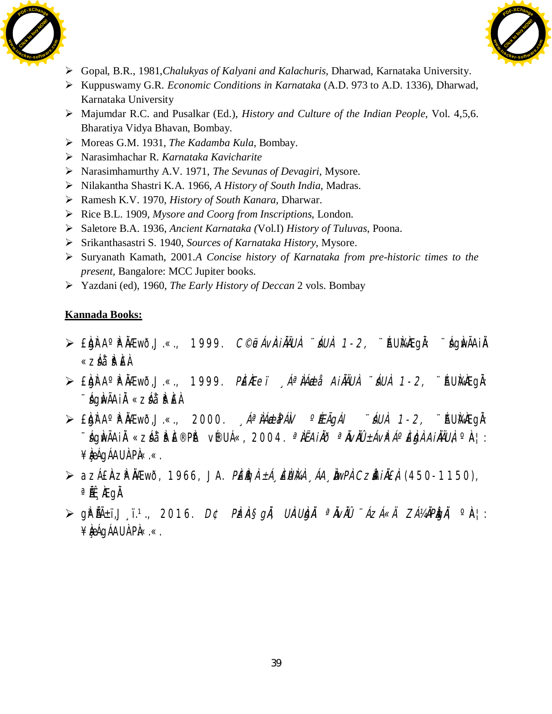



- ¾ Gopal, B.R., 1981,*Chalukyas of Kalyani and Kalachuris,* Dharwad, Karnataka University.
- ¾ Kuppuswamy G.R. *Economic Conditions in Karnataka* (A.D. 973 to A.D. 1336), Dharwad, Karnataka University
- ¾ Majumdar R.C. and Pusalkar (Ed.), *History and Culture of the Indian People*, Vol. 4,5,6. Bharatiya Vidya Bhavan, Bombay.
- ¾ Moreas G.M. 1931, *The Kadamba Kula*, Bombay.
- ¾ Narasimhachar R. *Karnataka Kavicharite*
- ¾ Narasimhamurthy A.V. 1971, *The Sevunas of Devagiri,* Mysore.
- ¾ Nilakantha Shastri K.A. 1966, *A History of South India*, Madras.
- ¾ Ramesh K.V. 1970, *History of South Kanara*, Dharwar.
- ¾ Rice B.L. 1909, *Mysore and Coorg from Inscriptions*, London.
- ¾ Saletore B.A. 1936, *Ancient Karnataka (*Vol.I) *History of Tuluvas*, Poona.
- ¾ Srikanthasastri S. 1940, *Sources of Karnataka History*, Mysore.
- ¾ Suryanath Kamath, 2001.*A Concise history of Karnataka from pre-historic times to the present,* Bangalore: MCC Jupiter books.
- ¾ Yazdani (ed), 1960, *The Early History of Deccan* 2 vols. Bombay

- $\triangleright$  £bh A° Fhamõ,J.«., 1999. C©jeávàiàÄUÀ úáUÀ 1-2, ¨ AUhanegà: ¨ ághvãAià «záå¨ ₽ E À
- $\triangleright$  £igh A° Filativo, J.«., 1999. *Pièitei "Áªilá Aillaiui, "áui, 1-2,* ¨Áuimhegi. ¨sÁgÀwÃAiÀÄ «zsÁå¨sÀªÀ£À.
- $\triangleright$  £bir A° Filation, J.«., 2000. *Aª LA dep Alv · Élagál í áuil* 1-2, ¨ Aumhegh: ¨ ÁgÌvÃAi $\breve{\text{A}}$  «zÁå¨ i $\text{P}$ iȮPit v®UÁ«, 2004. *ªÌËAiÀð ªĬvìlÜ ±ÁvìªÁº ÈigÀ AiÀÄUÀ,* º À¦: ¥**kégÁAU** Pl«.«.
- $\triangleright$  azÁ£ÀzÀÀÆwð, 1966, JA. PÈÀÇÀ ±Á¸ÈÙÀ¼À¸ÁA¸ÀwPÀ CzÀÀIÀÈÀ (450-1150),  $^{\circ}$  Å $^{\circ}$  K  $^{\circ}$  K  $^{\circ}$
- $\triangleright$  gré $\tilde{A}$ i, j. 1., 2016. D¢ PàzàŞ*gà, UàUàjà ªàvàû ¨ÁzÁ«Ä ZÁ¼ÀPàgà,* ºà¦: ¥**ké**qÁAUÀ PÀ«.«.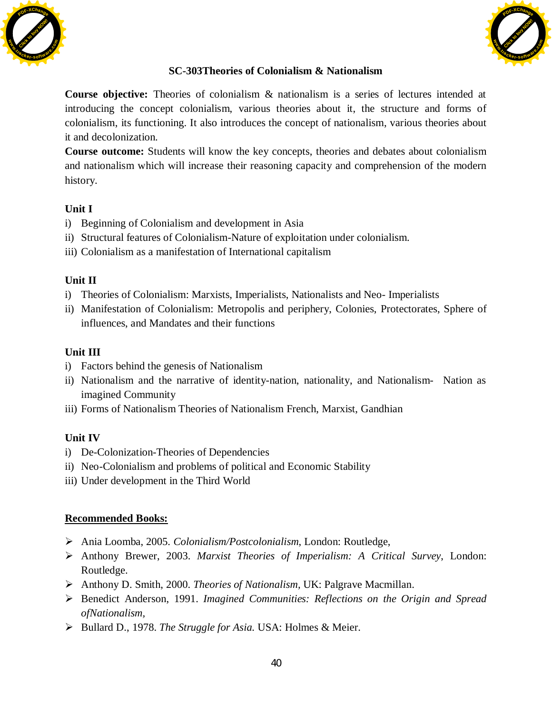



#### **SC-303Theories of Colonialism & Nationalism**

**Course objective:** Theories of colonialism & nationalism is a series of lectures intended at introducing the concept colonialism, various theories about it, the structure and forms of colonialism, its functioning. It also introduces the concept of nationalism, various theories about it and decolonization.

**Course outcome:** Students will know the key concepts, theories and debates about colonialism and nationalism which will increase their reasoning capacity and comprehension of the modern history.

#### **Unit I**

- i) Beginning of Colonialism and development in Asia
- ii) Structural features of Colonialism-Nature of exploitation under colonialism.
- iii) Colonialism as a manifestation of International capitalism

#### **Unit II**

- i) Theories of Colonialism: Marxists, Imperialists, Nationalists and Neo- Imperialists
- ii) Manifestation of Colonialism: Metropolis and periphery, Colonies, Protectorates, Sphere of influences, and Mandates and their functions

#### **Unit III**

- i) Factors behind the genesis of Nationalism
- ii) Nationalism and the narrative of identity-nation, nationality, and Nationalism- Nation as imagined Community
- iii) Forms of Nationalism Theories of Nationalism French, Marxist, Gandhian

#### **Unit IV**

- i) De-Colonization-Theories of Dependencies
- ii) Neo-Colonialism and problems of political and Economic Stability
- iii) Under development in the Third World

- ¾ Ania Loomba, 2005. *Colonialism/Postcolonialism*, London: Routledge,
- ¾ Anthony Brewer, 2003. *Marxist Theories of Imperialism: A Critical Survey*, London: Routledge.
- ¾ Anthony D. Smith, 2000. *Theories of Nationalism,* UK: Palgrave Macmillan.
- ¾ Benedict Anderson, 1991. *Imagined Communities: Reflections on the Origin and Spread ofNationalism,*
- ¾ Bullard D., 1978. *The Struggle for Asia.* USA: Holmes & Meier.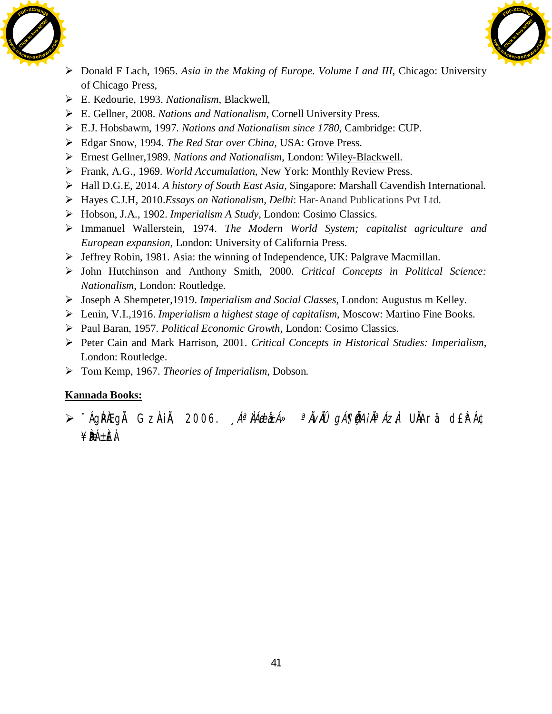



- ¾ Donald F Lach, 1965. *Asia in the Making of Europe. Volume I and III,* Chicago: University of Chicago Press,
- ¾ E. Kedourie, 1993. *Nationalism*, Blackwell,
- ¾ E. Gellner, 2008. *Nations and Nationalism*, Cornell University Press.
- ¾ E.J. Hobsbawm, 1997. *Nations and Nationalism since 1780*, Cambridge: CUP.
- ¾ Edgar Snow, 1994. *The Red Star over China,* USA: Grove Press.
- ¾ Ernest Gellner,1989. *Nations and Nationalism,* London: [Wiley-Blackwell](https://www.google.co.in/search?safe=active&q=Wiley-Blackwell&stick=H4sIAAAAAAAAAOPgE-LSz9U3MLIwtMgrVuIEsZMzCtMLtFQyyq30k_NzclKTSzLz8_QLUosy81MykxNziq0KSpNyMoszUosAuXD6jz8AAAA&sa=X&ved=0ahUKEwi8rtHu4dHYAhUST48KHVwIBa0QmxMIlQEoATAO).
- ¾ Frank, A.G., 1969. *World Accumulation*, New York: Monthly Review Press.
- ¾ Hall D.G.E, 2014. *A history of South East Asia,* Singapore: Marshall Cavendish International.
- ¾ Hayes C.J.H, 2010.*Essays on Nationalism, Delhi*: Har-Anand Publications Pvt Ltd.
- ¾ Hobson, J.A., 1902. *Imperialism A Study,* London: Cosimo Classics.
- ¾ Immanuel Wallerstein, 1974. *The Modern World System; capitalist agriculture and European expansion,* London: University of California Press.
- ¾ Jeffrey Robin, 1981. Asia: the winning of Independence, UK: Palgrave Macmillan.
- ¾ John Hutchinson and Anthony Smith, 2000. *Critical Concepts in Political Science: Nationalism*, London: Routledge.
- ¾ Joseph A Shempeter,1919. *Imperialism and Social Classes,* London: Augustus m Kelley.
- ¾ Lenin, V.I.,1916. *Imperialism a highest stage of capitalism*, Moscow: Martino Fine Books.
- ¾ Paul Baran, 1957. *Political Economic Growth,* London: Cosimo Classics.
- ¾ Peter Cain and Mark Harrison, 2001. *Critical Concepts in Historical Studies: Imperialism*, London: Routledge.
- ¾ Tom Kemp, 1967. *Theories of Imperialism*, Dobson.

≫ ¨ÁgPÀEgÀ GzÀiÀ, 2006. *"Áª ÀÁebà±Á» ªÀvÀÛ gÁ¶ÃAiÀªÁzÀ* UÀArä d£PÁ¢ ¥**BÁ±E**À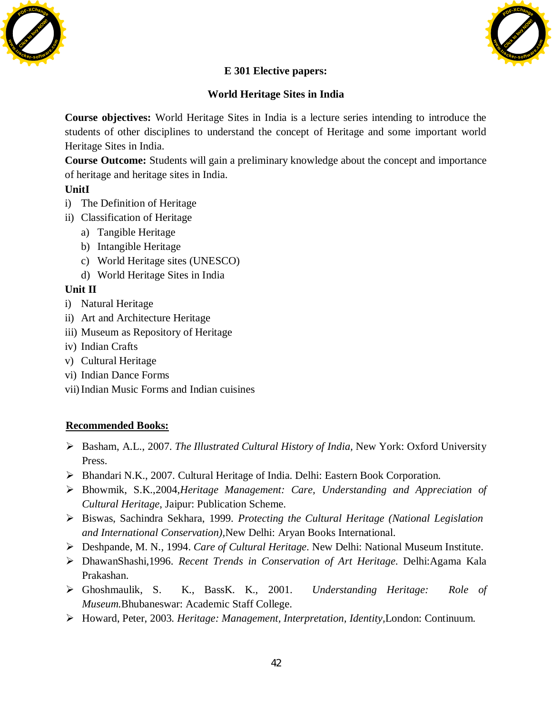



## **E 301 Elective papers:**

## **World Heritage Sites in India**

**Course objectives:** World Heritage Sites in India is a lecture series intending to introduce the students of other disciplines to understand the concept of Heritage and some important world Heritage Sites in India.

**Course Outcome:** Students will gain a preliminary knowledge about the concept and importance of heritage and heritage sites in India.

## **UnitI**

- i) The Definition of Heritage
- ii) Classification of Heritage
	- a) Tangible Heritage
	- b) Intangible Heritage
	- c) World Heritage sites (UNESCO)
	- d) World Heritage Sites in India

## **Unit II**

- i) Natural Heritage
- ii) Art and Architecture Heritage
- iii) Museum as Repository of Heritage
- iv) Indian Crafts
- v) Cultural Heritage
- vi) Indian Dance Forms
- vii)Indian Music Forms and Indian cuisines

- ¾ Basham, A.L., 2007. *The Illustrated Cultural History of India,* New York: Oxford University Press.
- ¾ Bhandari N.K., 2007. Cultural Heritage of India. Delhi: Eastern Book Corporation.
- ¾ Bhowmik, S.K.,2004,*Heritage Management: Care, Understanding and Appreciation of Cultural Heritage*, Jaipur: Publication Scheme.
- ¾ Biswas, Sachindra Sekhara, 1999. *Protecting the Cultural Heritage (National Legislation and International Conservation),*New Delhi: Aryan Books International.
- ¾ Deshpande, M. N., 1994. *Care of Cultural Heritage*. New Delhi: National Museum Institute.
- ¾ DhawanShashi,1996. *Recent Trends in Conservation of Art Heritage*. Delhi:Agama Kala Prakashan.
- ¾ Ghoshmaulik, S. K., BassK. K., 2001. *Understanding Heritage: Role of Museum.*Bhubaneswar: Academic Staff College.
- ¾ Howard, Peter, 2003. *Heritage: Management, Interpretation, Identity,*London: Continuum.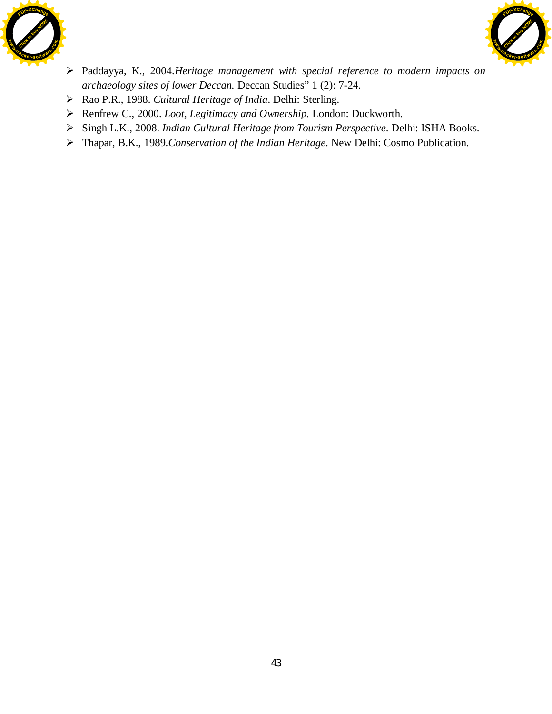



- ¾ Paddayya, K., 2004.*Heritage management with special reference to modern impacts on archaeology sites of lower Deccan.* Deccan Studies" 1 (2): 7-24.
- ¾ Rao P.R., 1988. *Cultural Heritage of India*. Delhi: Sterling.
- ¾ Renfrew C., 2000. *Loot, Legitimacy and Ownership.* London: Duckworth.
- ¾ Singh L.K., 2008. *Indian Cultural Heritage from Tourism Perspective*. Delhi: ISHA Books.
- ¾ Thapar, B.K., 1989.*Conservation of the Indian Heritage*. New Delhi: Cosmo Publication.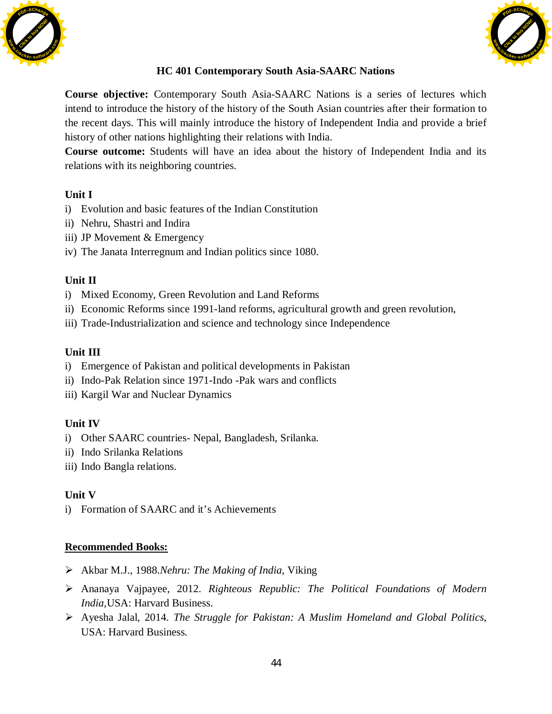



## **HC 401 Contemporary South Asia-SAARC Nations**

**Course objective:** Contemporary South Asia-SAARC Nations is a series of lectures which intend to introduce the history of the history of the South Asian countries after their formation to the recent days. This will mainly introduce the history of Independent India and provide a brief history of other nations highlighting their relations with India.

**Course outcome:** Students will have an idea about the history of Independent India and its relations with its neighboring countries.

## **Unit I**

- i) Evolution and basic features of the Indian Constitution
- ii) Nehru, Shastri and Indira
- iii) JP Movement & Emergency
- iv) The Janata Interregnum and Indian politics since 1080.

## **Unit II**

- i) Mixed Economy, Green Revolution and Land Reforms
- ii) Economic Reforms since 1991-land reforms, agricultural growth and green revolution,
- iii) Trade-Industrialization and science and technology since Independence

## **Unit III**

- i) Emergence of Pakistan and political developments in Pakistan
- ii) Indo-Pak Relation since 1971-Indo -Pak wars and conflicts
- iii) Kargil War and Nuclear Dynamics

## **Unit IV**

- i) Other SAARC countries- Nepal, Bangladesh, Srilanka.
- ii) Indo Srilanka Relations
- iii) Indo Bangla relations.

## **Unit V**

i) Formation of SAARC and it's Achievements

- ¾ Akbar M.J., 1988.*Nehru: The Making of India*, Viking
- ¾ Ananaya Vajpayee, 2012. *Righteous Republic: The Political Foundations of Modern India,*USA: Harvard Business.
- ¾ Ayesha Jalal, 2014. *The Struggle for Pakistan: A Muslim Homeland and Global Politics*, USA: Harvard Business.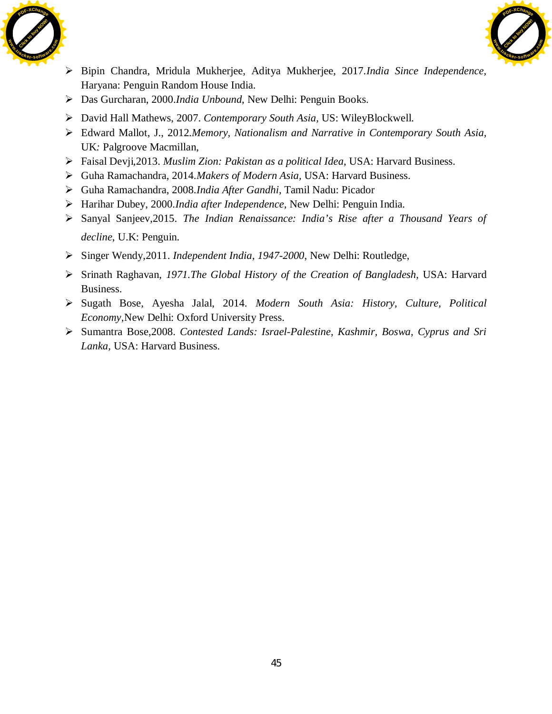



- ¾ Bipin Chandra, Mridula Mukherjee, Aditya Mukherjee, 2017.*India Since Independence,*  Haryana: Penguin Random House India.
- ¾ Das Gurcharan, 2000.*India Unbound*, New Delhi: Penguin Books.
- ¾ David Hall Mathews, 2007. *Contemporary South Asia,* US: WileyBlockwell.
- ¾ Edward Mallot, J., 2012.*Memory, Nationalism and Narrative in Contemporary South Asia,* UK*:* Palgroove Macmillan,
- ¾ Faisal Devji*,*2013. *Muslim Zion: Pakistan as a political Idea,* USA: Harvard Business.
- ¾ Guha Ramachandra, 2014.*Makers of Modern Asia,* USA: Harvard Business.
- ¾ Guha Ramachandra, 2008.*India After Gandhi,* Tamil Nadu: Picador
- ¾ Harihar Dubey, 2000.*India after Independence,* New Delhi: Penguin India.
- ¾ Sanyal Sanjeev,2015. *The Indian Renaissance: India's Rise after a Thousand Years of decline*, U.K: Penguin.
- ¾ Singer Wendy*,*2011. *Independent India, 1947-2000*, New Delhi: Routledge,
- ¾ Srinath Raghavan, *1971.The Global History of the Creation of Bangladesh,* USA: Harvard Business.
- ¾ Sugath Bose, Ayesha Jalal, 2014. *Modern South Asia: History, Culture, Political Economy,*New Delhi: Oxford University Press.
- ¾ Sumantra Bose,2008. *Contested Lands: Israel-Palestine, Kashmir, Boswa, Cyprus and Sri Lanka,* USA: Harvard Business.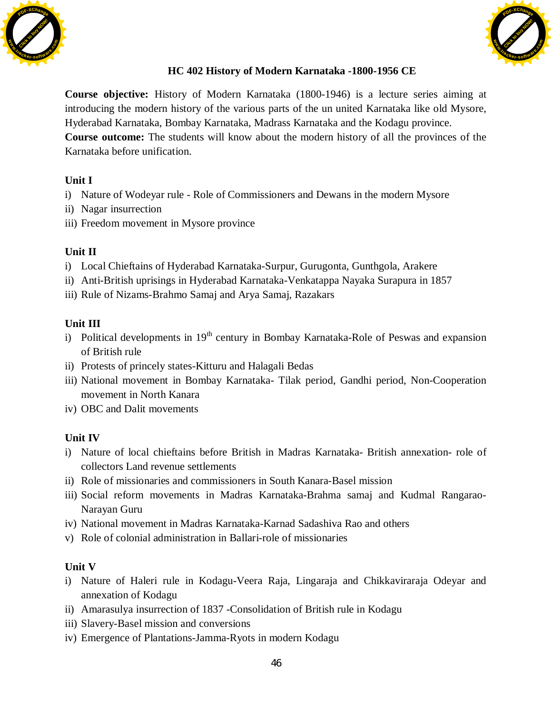



## **HC 402 History of Modern Karnataka -1800-1956 CE**

**Course objective:** History of Modern Karnataka (1800-1946) is a lecture series aiming at introducing the modern history of the various parts of the un united Karnataka like old Mysore, Hyderabad Karnataka, Bombay Karnataka, Madrass Karnataka and the Kodagu province. **Course outcome:** The students will know about the modern history of all the provinces of the Karnataka before unification.

#### **Unit I**

- i) Nature of Wodeyar rule Role of Commissioners and Dewans in the modern Mysore
- ii) Nagar insurrection
- iii) Freedom movement in Mysore province

#### **Unit II**

- i) Local Chieftains of Hyderabad Karnataka-Surpur, Gurugonta, Gunthgola, Arakere
- ii) Anti-British uprisings in Hyderabad Karnataka-Venkatappa Nayaka Surapura in 1857
- iii) Rule of Nizams-Brahmo Samaj and Arya Samaj, Razakars

#### **Unit III**

- i) Political developments in  $19<sup>th</sup>$  century in Bombay Karnataka-Role of Peswas and expansion of British rule
- ii) Protests of princely states-Kitturu and Halagali Bedas
- iii) National movement in Bombay Karnataka- Tilak period, Gandhi period, Non-Cooperation movement in North Kanara
- iv) OBC and Dalit movements

#### **Unit IV**

- i) Nature of local chieftains before British in Madras Karnataka- British annexation- role of collectors Land revenue settlements
- ii) Role of missionaries and commissioners in South Kanara-Basel mission
- iii) Social reform movements in Madras Karnataka-Brahma samaj and Kudmal Rangarao-Narayan Guru
- iv) National movement in Madras Karnataka-Karnad Sadashiva Rao and others
- v) Role of colonial administration in Ballari-role of missionaries

#### **Unit V**

- i) Nature of Haleri rule in Kodagu-Veera Raja, Lingaraja and Chikkaviraraja Odeyar and annexation of Kodagu
- ii) Amarasulya insurrection of 1837 -Consolidation of British rule in Kodagu
- iii) Slavery-Basel mission and conversions
- iv) Emergence of Plantations-Jamma-Ryots in modern Kodagu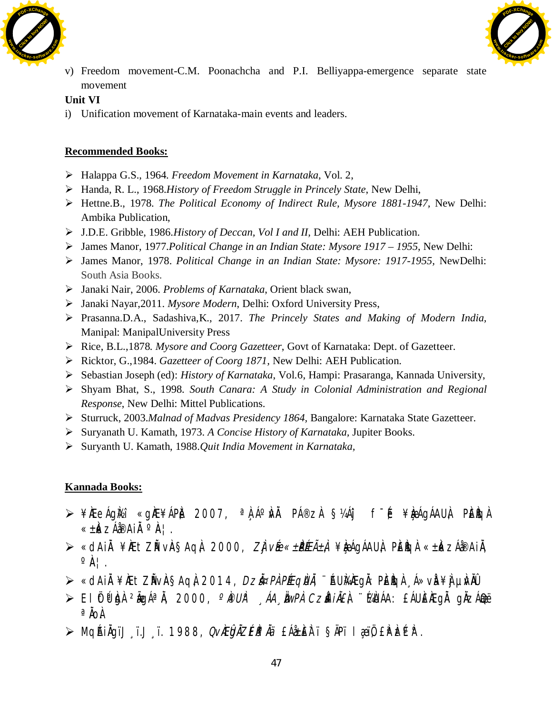



v) Freedom movement-C.M. Poonachcha and P.I. Belliyappa-emergence separate state movement

## **Unit VI**

i) Unification movement of Karnataka-main events and leaders.

## **Recommended Books:**

- ¾ Halappa G.S., 1964. *Freedom Movement in Karnataka*, Vol. 2,
- ¾ Handa, R. L., 1968.*History of Freedom Struggle in Princely State*, New Delhi,
- ¾ Hettne.B., 1978. *The Political Economy of Indirect Rule, Mysore 1881-1947,* New Delhi: Ambika Publication,
- ¾ J.D.E. Gribble, 1986.*History of Deccan, Vol I and II,* Delhi: AEH Publication.
- ¾ James Manor, 1977.*Political Change in an Indian State: Mysore 1917 1955*, New Delhi:
- ¾ James Manor, 1978. *Political Change in an Indian State: Mysore: 1917-1955,* NewDelhi: South Asia Books.
- ¾ Janaki Nair, 2006. *Problems of Karnataka*, Orient black swan,
- ¾ Janaki Nayar,2011. *Mysore Modern*, Delhi: Oxford University Press,
- ¾ Prasanna.D.A., Sadashiva,K., 2017. *The Princely States and Making of Modern India,* Manipal: ManipalUniversity Press
- ¾ Rice, B.L.,1878. *Mysore and Coorg Gazetteer*, Govt of Karnataka: Dept. of Gazetteer.
- ¾ Ricktor, G.,1984. *Gazetteer of Coorg 1871,* New Delhi: AEH Publication.
- ¾ Sebastian Joseph (ed): *History of Karnataka*, Vol.6, Hampi: Prasaranga, Kannada University,
- ¾ Shyam Bhat, S., 1998. *South Canara: A Study in Colonial Administration and Regional Response*, New Delhi: Mittel Publications.
- ¾ Sturruck, 2003.*Malnad of Madvas Presidency 1864,* Bangalore: Karnataka State Gazetteer.
- ¾ Suryanath U. Kamath, 1973. *A Concise History of Karnataka,* Jupiter Books.
- ¾ Suryanth U. Kamath, 1988.*Quit India Movement in Karnataka,*

- ≥¥ÀÆeÁg̽î «gÀE¥ÁPÀ 2007, ªÀÁºÀNĂ PÁ®zÀ §¼Áij f<sup>-</sup>É, ¥ÀæÁgÁAUÀ, PÈÎGÀ « $\pm$ k ZÁ $\ell^{\circ}$ Ai $\Lambda^{\circ}$ Ai
- ⊁ «dAiÀ¥ÀÆtZĂVÀ§AqÀ 2000, *ZÀjvÉe«±PÉEñÀ¥ bé*ÁgÁAU À, PĚÈGÀ«±ÀkzÁå®AiÀ,  $\circ \mathbb{A}$  | .
- ≫ «dAiÀ¥ÆtZĂVA§Aq); 2014, *Dzi¤Pì Péeqiuì*, ¨ÁU̼ÆgÀ: PÈÈgÀ ¸Á»vÀ¥ ÌjµÀÑÛ
- $\triangleright$  El Ötû $\mathfrak{h}$ dà  $^2\mathfrak{g}$ gá $^a$ Å, 2000,  $^o$ i $^o$ w $^o$ , ÁA¸  $^i$ aw $^o$ A $^o$ Czà $^i$ i $^i$ i $^i$ £À $^i$ .  $^i$ Ka)ÁA: £ÁUÈ $^i$ EgÀ gÀzÁ $^i$  $a$   $\ddot{a}$
- ≫ MqéhàqïJ ï.J ï. 1988, QvÀEÔQÀZÉÀ®Àä £Áà±ÈÈTï §ÄPï læŭ) £ÀºÞzPìP.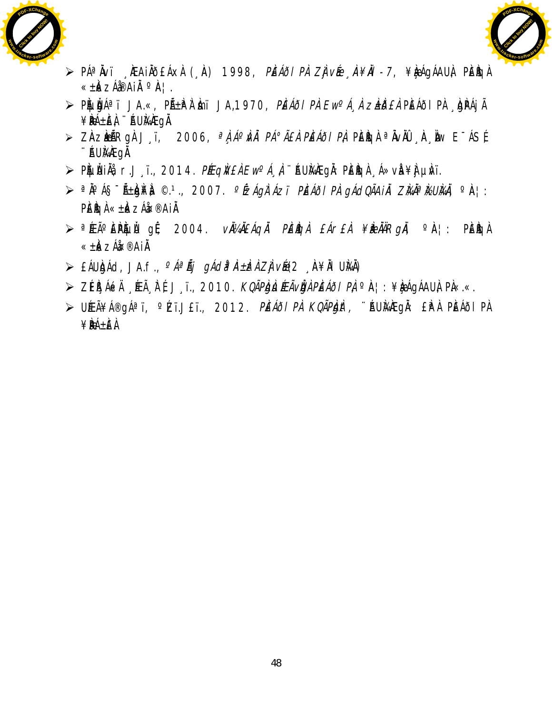



- $\triangleright$  PÁªÀvï ¸ÀEAIÀÕEÁXÀ (¸À) 1998, *PÌEÁÕI PÀ ZÌjvÉe À¥ÀI 7*, ¥ÀæqÁAUÀ, PÌEÌIGÀ « $\pm$ k z猨Ai $\AA$ <sup>o</sup> $\AA$ ¦.
- ≫ PÈLLĚJÁªï JA.«, P̱ȪÀ Èmï JA,1970, *PĚÁðI PÀ Ew°Á¸À zè±ið£À* PÈÁðI PÀ ¸ÀgPÁjÃ ¥BÁ±ÈÀ ¨ ÁUMÆGÄ.
- $\ge$  Zàzèñ Rgà Jįï, 2006, <sup>a</sup>à á<sup>o</sup>ù *Pá°ãeà pèáði pà* pèigi <sup>a</sup>iviù "ia, iw E<sup>-</sup>ásé ¨ÉAUÀ¼ÀÆgÀÄ.
- ≫ PÀЏĂHÀġ, r.J¸ï., 2014. *PÉEqÀV£À Ew°Á¸À*, ¨ÁUÀ¼ÆgĂ: PÈÈGÀ ¸Á≫vÀ ¥∯µÀ/ï.
- ≫ ªÀ°Á§¯Ã±ÀDN¥À ©.º., 2007. *°ÉzÁgÀ`Ázï PÌEÁði PÀ gÁdQÃAiÀ ZÌkĂªÌkUÌkÀ,* °À¦: PÈÌCH «±ÌKZÁĤ®AIÄ
- $\triangleright$  <sup>a</sup>ÉEúÈPÀUL gÉ, 2004. *vìllÀÉÁGÀ PÈÌGÀ £Ár£À ¥ÌBÀÄRgì*Ă, ºÀ¦: PÈÌGÀ «±ÈkzÁ䤮AiÄ.
- $\triangleright$  £ÁUkhád, JA.f.,  $^{\circ}A^{\alpha}\tilde{A}j$  gách<sup>a</sup> À±kh Zjvé@ (A¥ÅI UkÅ)
- $\triangleright$  ZÉÈ ÁékÅ ÉEÃ À É, J ï., 2010. *KoãpìgìlíeãvÌgà Pèáði Pà*  $\circ$ ia¦: ¥èæágÁAUÀ, PÀ«.«.
- > UÆÃ¥Á®gÁªï, °Zï.J£ï., 2012. PĚÁðIPÀ KQÃPÀJAt, ¨ÄUMAEgÀ: £ÌPÀ PĚÁðIPÀ ¥ÀæPÁ±À£ À.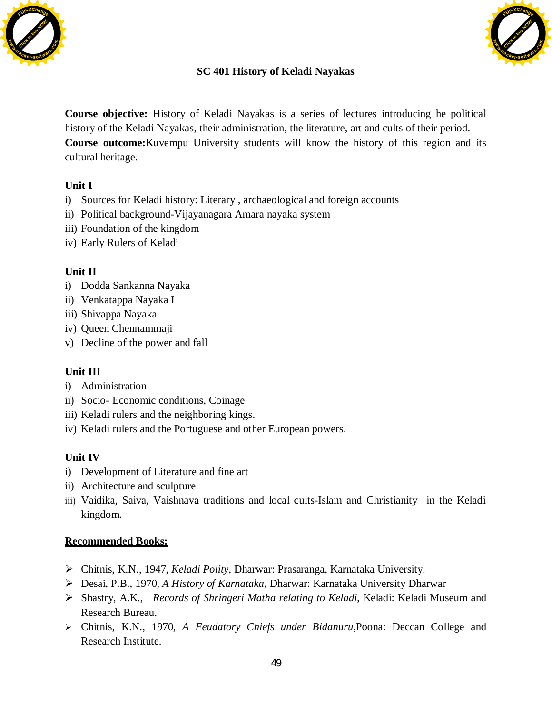



## **SC 401 History of Keladi Nayakas**

**Course objective:** History of Keladi Nayakas is a series of lectures introducing he political history of the Keladi Nayakas, their administration, the literature, art and cults of their period. **Course outcome:**Kuvempu University students will know the history of this region and its cultural heritage.

## **Unit I**

- i) Sources for Keladi history: Literary , archaeological and foreign accounts
- ii) Political background-Vijayanagara Amara nayaka system
- iii) Foundation of the kingdom
- iv) Early Rulers of Keladi

## **Unit II**

- i) Dodda Sankanna Nayaka
- ii) Venkatappa Nayaka I
- iii) Shivappa Nayaka
- iv) Queen Chennammaji
- v) Decline of the power and fall

## **Unit III**

- i) Administration
- ii) Socio- Economic conditions, Coinage
- iii) Keladi rulers and the neighboring kings.
- iv) Keladi rulers and the Portuguese and other European powers.

## **Unit IV**

- i) Development of Literature and fine art
- ii) Architecture and sculpture
- iii) Vaidika, Saiva, Vaishnava traditions and local cults-Islam and Christianity in the Keladi kingdom.

- ¾ Chitnis, K.N., 1947, *Keladi Polity,* Dharwar: Prasaranga, Karnataka University.
- ¾ Desai, P.B., 1970, *A History of Karnataka,* Dharwar: Karnataka University Dharwar
- ¾ Shastry, A.K., *Records of Shringeri Matha relating to Keladi*, Keladi: Keladi Museum and Research Bureau.
- ¾ Chitnis, K.N., 1970, *A Feudatory Chiefs under Bidanuru,*Poona: Deccan College and Research Institute.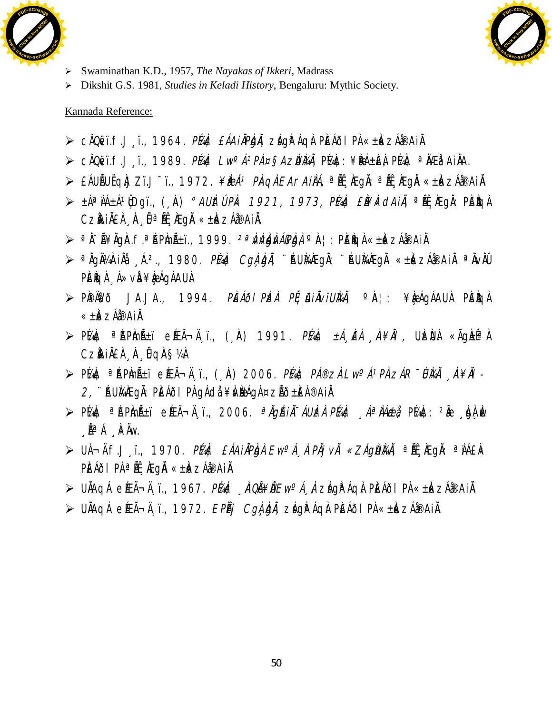



- ¾ Swaminathan K.D., 1957, *The Nayakas of Ikkeri,* Madrass
- ¾ Dikshit G.S. 1981, *Studies in Keladi History*, Bengaluru: Mythic Society.

#### Kannada Reference:

- $\triangleright$  ¢ÃQëvï.f.J i., 1964. *PÍAI¢ £ÁA i ÄPÈJÄ, z*ágì<sup>a</sup> Ágà PÈÁðl PÀ «± Àk zÁå®A i Ä.
- $\triangleright$  ¢ÃQëvï.f.J¸ï., 1989. *Plaic Lw°Á* $^{1}P\dot{A}$ *¤§AzÙlÀÅ,* Plaic: ¥**Bé**±èl Plaic <sup>a</sup> ÀÆå<sup>1</sup>AiÅA.
- ≫ £ÁUÑUËQÌJZï.J¯ï., 1972. *¥ÌÐÁª PÌAQÌ EArAiÌÁ,* ªÍŀĹ ÌÆgĬ.: ªÍŀL ÌÆgĬ «±È«zÁå®Ai Ĭ.
- $\triangleright$   $\pm$ ÁªÀÁ $\pm$ Áº $\hat{\mathfrak{g}}$ Dgï., ("À)  $^{\circ}$ AU $\hat{k}$ Ú  $P\hat{k}$  1921, 1973, Plat £À¥ $\hat{k}$ dAi $\hat{l}$ , ªË, $\hat{k}$ gå: PÈ $\hat{k}$ q $\hat{l}$  $Cz$ ÀiÀ $E\hat{A}$ , À  $\hat{B}$ <sup>a</sup> Át, À $Eg\hat{A}$  « $\pm\hat{k}$  $ZA$ á®Ai $\hat{A}$ .
- $\triangleright$  ª  $\lambda$ <sup>=</sup>Ã¥ $\lambda$ gà.f.ª ÁP $\lambda$ ñ $\lambda$ i., 1999.  $\lambda$ <sup>a</sup> $\lambda$ *àn)* $\lambda$ *ápba,* º À¦: PÈ $\lambda$ gà «± $\lambda$ k zÁ $\lambda$ ®Ai $\lambda$ .
- $\triangleright$  <sup>a</sup>ÀgÀ¼ÀiÀå 〔A.<sup>2</sup>., 1980. *Plaic Cgì, Àiì*, ¨AUÀ¥ÆgÀ: ¨ÁUÀ¼ÆgÀ «±À«zÁðaiÀ ªÀvÀÛ PÈÈGÀ Á»vÀ¥È¤ÁGÁAUÀ
- $\triangleright$  PIPIAVõ JA.JA., 1994. *PIEÁði PIzi Pɦ jA i ÄvïUIki*i, °IA¦: ¥ÀæÁgÁAUÀ PIEIkg À « $\pm \mathbf{k}$  zá $\mathbf{A}$ ið.
- $\triangleright$  P[A]c <sup>a</sup> [Ap]m [A\_i eEEìÄ ï., (, )A) 1991. *P[A]c ±Á EÀ* , *A¥ÀI,* U}zÙ à «Ãg}±ÉªÀ CzàAiÀ£À À Û qÀ§¼À
- $\triangleright$  PÍAI¢ <sup>a</sup> ÁPInñï eÆÃ¬Ä¸ï., (¸ À) 2006*. PÍAI¢ PÁ®zII Lw°Á1PII zÁR¯ÚIAÄ* ¸À¥*Äl*  $2$ , `````AU}AAEgÀ: PÈÁðl PÀ gÁdå ¥Àv $\frac{1}{2}$ ana ¤zÃð $\pm$ ÈÁ®Ai $\lambda$ .
- $\triangleright$  P[A]¢  $\circ$  [AP]mñï e[ÆÃ¬Ä¸ï., 2006.  $\circ$ À]*qéiÀ -ÁU]zÀ P[A]¢* , A $\circ$ *ÀAeb*i, P[A]¢: <sup>2</sup>Ãe , kh} Àv  $\Lambda^a A \overline{A}$   $\overline{R}$   $\overline{A}$   $\overline{B}$
- ≥ UÁ¬Ä.f.J ï., 1970. *PĹAI¢ £ÁAi ÀPÌgÀ Ew°Á À PÀj vÀ «ZÁgÙÌ⁄AĂ,* ªĚL ÆQÀ: ªÀÁ£À« PÈÁÕI PÀ <sup>a</sup> Ät , KegÄ «± k zÁå®Ai Ä.
- $\triangleright$  UNAqá e ÉEìĸï., 1967. *PÍAN¢ ÅQŨ¥Ù Ew<sup>o</sup>Á, À* zágPÁq). PIEÁði PÀ «± k×zÁð®Ai).
- $\triangleright$  UÄAqÁ e ÆÃ $\neg$ Ä, ï., 1972. EPÃj CgÀ, b, zágì $\hat{r}$ Áqà PÈÁðlPÀ « $\pm \hat{k}$ zÁ $\hat{i}$ ®Ai $\hat{k}$ .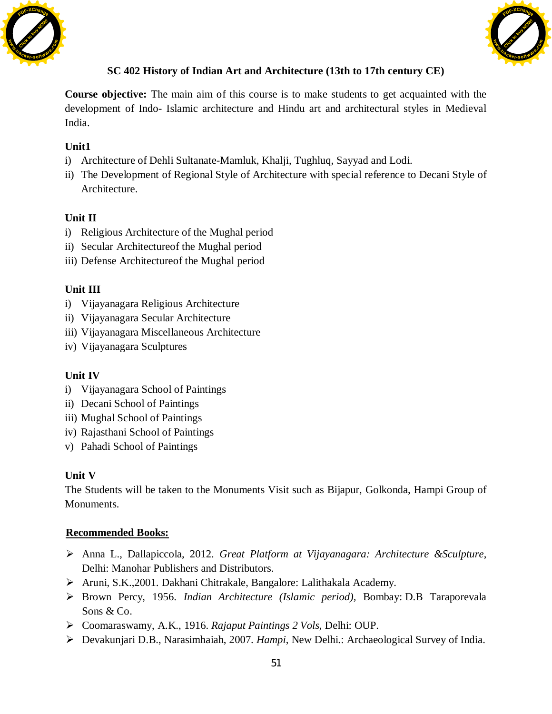



# **SC 402 History of Indian Art and Architecture (13th to 17th century CE)**

**Course objective:** The main aim of this course is to make students to get acquainted with the development of Indo- Islamic architecture and Hindu art and architectural styles in Medieval India.

# **Unit1**

- i) Architecture of Dehli Sultanate-Mamluk, Khalji, Tughluq, Sayyad and Lodi.
- ii) The Development of Regional Style of Architecture with special reference to Decani Style of Architecture.

# **Unit II**

- i) Religious Architecture of the Mughal period
- ii) Secular Architectureof the Mughal period
- iii) Defense Architectureof the Mughal period

## **Unit III**

- i) Vijayanagara Religious Architecture
- ii) Vijayanagara Secular Architecture
- iii) Vijayanagara Miscellaneous Architecture
- iv) Vijayanagara Sculptures

## **Unit IV**

- i) Vijayanagara School of Paintings
- ii) Decani School of Paintings
- iii) Mughal School of Paintings
- iv) Rajasthani School of Paintings
- v) Pahadi School of Paintings

## **Unit V**

The Students will be taken to the Monuments Visit such as Bijapur, Golkonda, Hampi Group of Monuments.

- ¾ Anna L., Dallapiccola, 2012. *Great Platform at Vijayanagara: Architecture &Sculpture*, Delhi: Manohar Publishers and Distributors.
- ¾ Aruni, S.K.,2001. Dakhani Chitrakale, Bangalore: Lalithakala Academy.
- ¾ Brown Percy, 1956. *Indian Architecture (Islamic period),* Bombay: D.B Taraporevala Sons & Co.
- ¾ Coomaraswamy, A.K., 1916. *Rajaput Paintings 2 Vols,* Delhi: OUP.
- ¾ Devakunjari D.B., Narasimhaiah, 2007. *Hampi*, New Delhi.: Archaeological Survey of India.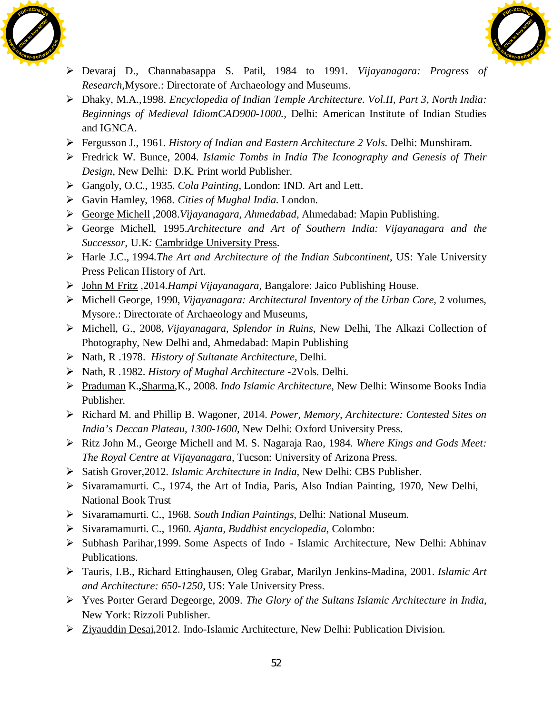



- ¾ Devaraj D., Channabasappa S. Patil, 1984 to 1991*. Vijayanagara: Progress of Research,*Mysore.: Directorate of Archaeology and Museums.
- ¾ Dhaky, M.A.,1998. *Encyclopedia of Indian Temple Architecture. Vol.II, Part 3, North India: Beginnings of Medieval IdiomCAD900-1000.,* Delhi: American Institute of Indian Studies and IGNCA.
- ¾ Fergusson J., 1961. *History of Indian and Eastern Architecture 2 Vols*. Delhi: Munshiram.
- ¾ Fredrick W. Bunce, 2004. *Islamic Tombs in India The Iconography and Genesis of Their Design,* New Delhi: D.K. Print world Publisher.
- ¾ Gangoly, O.C., 1935. *Cola Painting,* London: IND. Art and Lett.
- ¾ Gavin Hamley, 1968. *Cities of Mughal India*. London.
- ¾ [George Michell](https://www.amazon.in/s/ref=dp_byline_sr_book_1?ie=UTF8&field-author=George+Michell&search-alias=stripbooks) ,2008.*Vijayanagara, Ahmedabad,* Ahmedabad: Mapin Publishing.
- ¾ George Michell, 1995.*Architecture and Art of Southern India: Vijayanagara and the Successor*, U.K*:* [Cambridge University Press](https://books.google.co.in/url?client=ca-print-cambridge&format=googleprint&num=0&id=W6bphUvvPf4C&q=http://www.cambridge.org/9780521441100&usg=AFQjCNHvtni_k9dFb__TntF5BgHobVNyNw&source=gbs_buy_r).
- ¾ Harle J.C., 1994.*The Art and Architecture of the Indian Subcontinent*, US: Yale University Press Pelican History of Art.
- ¾ [John M Fritz](https://www.amazon.in/s/ref=dp_byline_sr_book_1?ie=UTF8&field-author=John+M+Fritz&search-alias=stripbooks) ,2014.*Hampi Vijayanagara*, Bangalore: Jaico Publishing House.
- ¾ Michell George, 1990, *Vijayanagara: Architectural Inventory of the Urban Core*, 2 volumes, Mysore.: Directorate of Archaeology and Museums,
- ¾ Michell, G., 2008, *Vijayanagara, Splendor in Ruins*, New Delhi, The Alkazi Collection of Photography, New Delhi and, Ahmedabad: Mapin Publishing
- ¾ Nath, R .1978. *History of Sultanate Architecture*, Delhi.
- ¾ Nath, R .1982. *History of Mughal Architecture* -2Vols. Delhi.
- ¾ [Praduman](https://www.amazon.in/s/ref=dp_byline_sr_book_1?ie=UTF8&field-author=K.+Praduman&search-alias=stripbooks) K.**,**[Sharma,](https://www.amazon.in/s/ref=dp_byline_sr_book_2?ie=UTF8&field-author=K.+Sharma&search-alias=stripbooks)K., 2008. *Indo Islamic Architecture*, New Delhi: Winsome Books India Publisher.
- ¾ Richard M. and Phillip B. Wagoner, 2014. *Power, Memory, Architecture: Contested Sites on India's Deccan Plateau, 1300-1600*, New Delhi: Oxford University Press.
- ¾ Ritz John M., George Michell and M. S. Nagaraja Rao, 1984*. Where Kings and Gods Meet: The Royal Centre at Vijayanagara,* Tucson: University of Arizona Press.
- ¾ Satish Grover,2012*. Islamic Architecture in India*, New Delhi: CBS Publisher.
- ¾ Sivaramamurti. C., 1974, the Art of India, Paris, Also Indian Painting, 1970, New Delhi, National Book Trust
- ¾ Sivaramamurti. C., 1968. *South Indian Paintings,* Delhi: National Museum.
- ¾ Sivaramamurti. C., 1960. *Ajanta, Buddhist encyclopedia,* Colombo:
- ¾ Subhash Parihar,1999. Some Aspects of Indo Islamic Architecture, New Delhi: Abhinav Publications.
- ¾ Tauris, I.B., Richard Ettinghausen, [Oleg Grabar](https://en.wikipedia.org/wiki/Oleg_Grabar), Marilyn Jenkins-Madina, 2001. *Islamic Art and Architecture: 650-1250*, US: Yale University Press.
- ¾ Yves Porter Gerard Degeorge, 2009. *The Glory of the Sultans Islamic Architecture in India,* New York: Rizzoli Publisher.
- ¾ [Ziyauddin Desai](https://www.amazon.in/s/ref=dp_byline_sr_book_1?ie=UTF8&field-author=Ziyauddin+Desai&search-alias=stripbooks),2012*.* Indo-Islamic Architecture, New Delhi: Publication Division.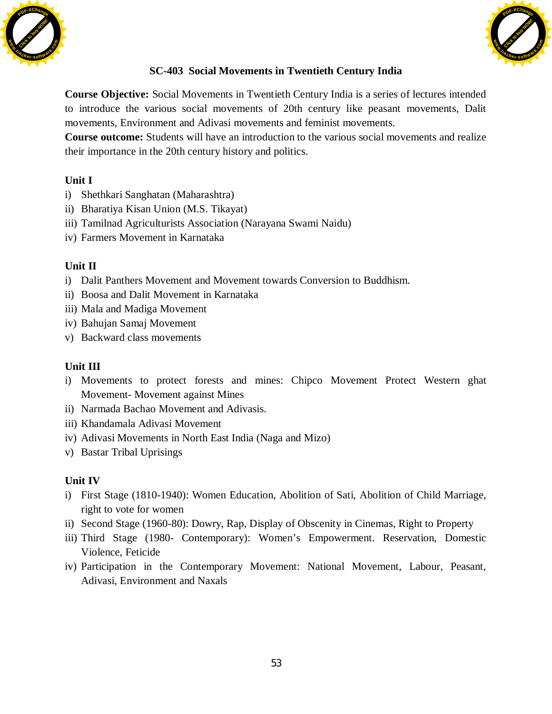



## **SC-403 Social Movements in Twentieth Century India**

**Course Objective:** Social Movements in Twentieth Century India is a series of lectures intended to introduce the various social movements of 20th century like peasant movements, Dalit movements, Environment and Adivasi movements and feminist movements.

**Course outcome:** Students will have an introduction to the various social movements and realize their importance in the 20th century history and politics.

## **Unit I**

- i) Shethkari Sanghatan (Maharashtra)
- ii) Bharatiya Kisan Union (M.S. Tikayat)
- iii) Tamilnad Agriculturists Association (Narayana Swami Naidu)
- iv) Farmers Movement in Karnataka

## **Unit II**

- i) Dalit Panthers Movement and Movement towards Conversion to Buddhism.
- ii) Boosa and Dalit Movement in Karnataka
- iii) Mala and Madiga Movement
- iv) Bahujan Samaj Movement
- v) Backward class movements

## **Unit III**

- i) Movements to protect forests and mines: Chipco Movement Protect Western ghat Movement- Movement against Mines
- ii) Narmada Bachao Movement and Adivasis.
- iii) Khandamala Adivasi Movement
- iv) Adivasi Movements in North East India (Naga and Mizo)
- v) Bastar Tribal Uprisings

## **Unit IV**

- i) First Stage (1810-1940): Women Education, Abolition of Sati, Abolition of Child Marriage, right to vote for women
- ii) Second Stage (1960-80): Dowry, Rap, Display of Obscenity in Cinemas, Right to Property
- iii) Third Stage (1980- Contemporary): Women's Empowerment. Reservation, Domestic Violence, Feticide
- iv) Participation in the Contemporary Movement: National Movement, Labour, Peasant, Adivasi, Environment and Naxals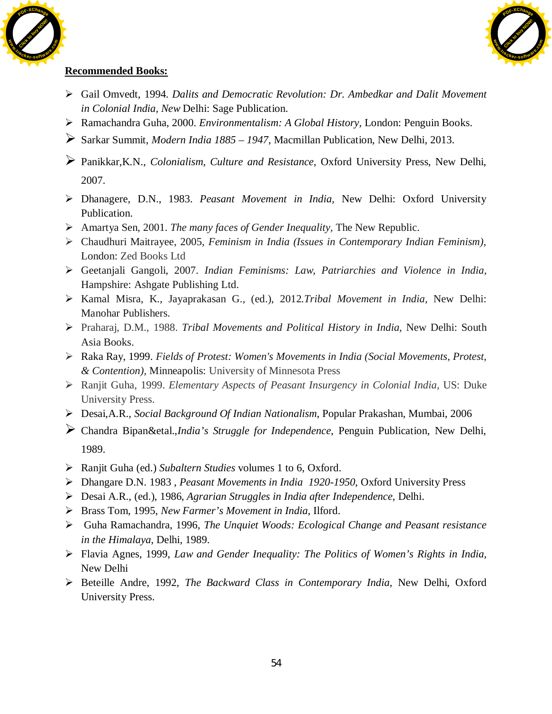



- ¾ Gail Omvedt, 1994. *Dalits and Democratic Revolution: Dr. Ambedkar and Dalit Movement in Colonial India, New* Delhi: Sage Publication.
- ¾ Ramachandra Guha, 2000. *Environmentalism: A Global History,* London: Penguin Books.
- ¾ Sarkar Summit, *Modern India 1885 1947*, Macmillan Publication, New Delhi, 2013.
- ¾ Panikkar,K.N., *Colonialism, Culture and Resistance*, Oxford University Press, New Delhi, 2007.
- ¾ Dhanagere, D.N., 1983. *Peasant Movement in India,* New Delhi: Oxford University Publication.
- ¾ Amartya Sen, 2001. *The many faces of Gender Inequality,* The New Republic.
- ¾ Chaudhuri Maitrayee, 2005, *Feminism in India (Issues in Contemporary Indian Feminism),* London: Zed Books Ltd
- ¾ Geetanjali Gangoli, 2007. *Indian Feminisms: Law, Patriarchies and Violence in India,* Hampshire: Ashgate Publishing Ltd.
- ¾ Kamal Misra, K., Jayaprakasan G., (ed.), 2012.*Tribal Movement in India,* New Delhi: Manohar Publishers.
- ¾ Praharaj, D.M., 1988. *Tribal Movements and Political History in India,* New Delhi: South Asia Books.
- ¾ Raka Ray, 1999. *Fields of Protest: Women's Movements in India (Social Movements, Protest, & Contention),* Minneapolis: University of Minnesota Press
- ¾ Ranjit Guha, 1999. *Elementary Aspects of Peasant Insurgency in Colonial India,* US: Duke University Press.
- ¾ Desai,A.R., *Social Background Of Indian Nationalism*, Popular Prakashan, Mumbai, 2006
- ¾ Chandra Bipan&etal.,*India's Struggle for Independence*, Penguin Publication, New Delhi, 1989.
- ¾ Ranjit Guha (ed.) *Subaltern Studies* volumes 1 to 6, Oxford.
- ¾ Dhangare D.N. 1983 , *Peasant Movements in India 1920-1950*, Oxford University Press
- ¾ Desai A.R., (ed.), 1986, *Agrarian Struggles in India after Independence*, Delhi.
- ¾ Brass Tom, 1995, *New Farmer's Movement in India*, Ilford.
- ¾ Guha Ramachandra, 1996, *The Unquiet Woods: Ecological Change and Peasant resistance in the Himalaya*, Delhi, 1989.
- ¾ Flavia Agnes, 1999, *Law and Gender Inequality: The Politics of Women's Rights in India*, New Delhi
- ¾ Beteille Andre, 1992, *The Backward Class in Contemporary India,* New Delhi, Oxford University Press.